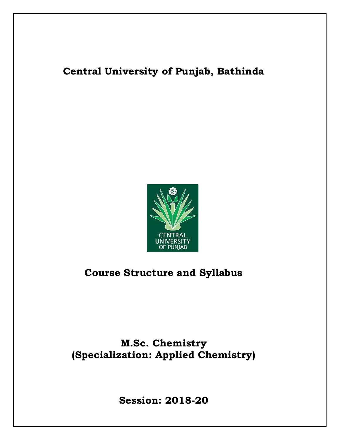# **Central University of Punjab, Bathinda**



# **Course Structure and Syllabus**

# **M.Sc. Chemistry (Specialization: Applied Chemistry)**

**Session: 2018-20**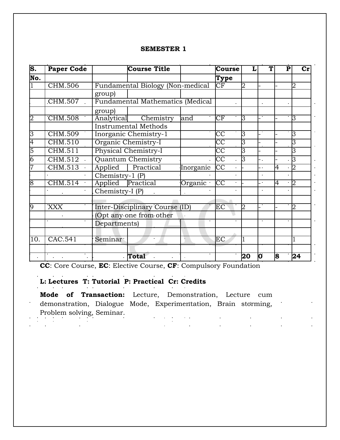### **SEMESTER 1**

| S.  | <b>Paper Code</b> |                 | <b>Course Title</b>              |           | <b>Course</b>          |    |                          |    | Сr |
|-----|-------------------|-----------------|----------------------------------|-----------|------------------------|----|--------------------------|----|----|
| No. |                   |                 |                                  |           | Type                   |    |                          |    |    |
|     | CHM.506           |                 | Fundamental Biology (Non-medical |           | CF                     |    |                          |    | 2  |
|     |                   | group)          |                                  |           |                        |    |                          |    |    |
|     | CHM.507           |                 | Fundamental Mathematics (Medical |           |                        |    |                          |    |    |
|     |                   | group)          |                                  |           |                        |    |                          |    |    |
|     | CHM.508           | Analytical      | Chemistry                        | and       | $\overline{\text{CF}}$ | 3  |                          |    | 3  |
|     |                   |                 | <b>Instrumental Methods</b>      |           |                        |    |                          |    |    |
| 3   | <b>CHM.509</b>    |                 | Inorganic Chemistry-1            |           | $\overline{CC}$        | 3  |                          |    | 3  |
| 4   | CHM.510           |                 | Organic Chemistry-I              |           | $\overline{CC}$        | 3  |                          |    | 3  |
|     | CHM.511           |                 | Physical Chemistry-I             |           | $\overline{\text{CC}}$ | 3  |                          |    | 3  |
|     | CHM.512           |                 | Quantum Chemistry                |           | $\overline{CC}$        | З  | Ξ.                       |    | 3  |
|     | CHM.513           | Applied         | Practical                        | Inorganic | CC                     |    |                          | 4  | 2  |
|     |                   | Chemistry-1 (P) |                                  |           |                        |    |                          |    |    |
|     | CHM.514           | Applied         | Practical                        | Organic   | CC                     |    | $\overline{\phantom{a}}$ | 4  | 2  |
|     |                   | Chemistry-I (P) |                                  |           |                        |    |                          |    |    |
|     |                   |                 |                                  |           |                        |    |                          |    |    |
|     | <b>XXX</b>        |                 | Inter-Disciplinary Course (ID)   |           | EC                     | 2  |                          |    | 2  |
|     |                   |                 | (Opt any one from other          |           |                        |    |                          |    |    |
|     |                   | Departments)    |                                  |           |                        |    |                          |    |    |
|     |                   |                 |                                  |           |                        |    |                          |    |    |
| 10. | CAC.541           | Seminar         |                                  |           | EC                     |    |                          |    |    |
|     |                   |                 |                                  |           |                        |    |                          |    |    |
|     |                   |                 | Total                            |           |                        | 20 | 0                        | 18 | 24 |

**CC**: Core Course, **EC**: Elective Course, **CF**: Compulsory Foundation

## **L: Lectures T: Tutorial P: Practical Cr: Credits**

 $\sim$  $\frac{1}{2}$ 

**Mode of Transaction:** Lecture, Demonstration, Lecture cum demonstration, Dialogue Mode, Experimentation, Brain storming, Problem solving, Seminar. $\mathcal{L}^{\text{max}}$  and  $\mathcal{L}^{\text{max}}$  $\mathcal{L}^{\text{max}}_{\text{max}}$  and  $\mathcal{L}^{\text{max}}_{\text{max}}$  $\sim 10^{-1}$  $\mathcal{L}(\mathcal{L})$  .  $\mathcal{L}^{\text{max}}$ 

 $\mathcal{L}^{\text{max}}_{\text{max}}$  , where  $\mathcal{L}^{\text{max}}_{\text{max}}$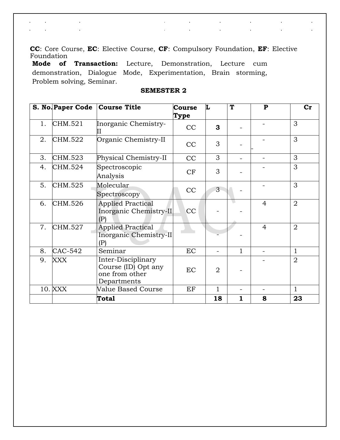**CC**: Core Course, **EC**: Elective Course, **CF**: Compulsory Foundation, **EF**: Elective Foundation

 $\label{eq:2.1} \begin{split} \mathbf{y} &= \mathbf{y} + \mathbf{y} + \mathbf{y} + \mathbf{y} + \mathbf{y} + \mathbf{y} \\ \mathbf{y} &= \mathbf{y} + \mathbf{y} + \mathbf{y} + \mathbf{y} + \mathbf{y} + \mathbf{y} + \mathbf{y} + \mathbf{y} + \mathbf{y} + \mathbf{y} + \mathbf{y} + \mathbf{y} + \mathbf{y} + \mathbf{y} + \mathbf{y} + \mathbf{y} + \mathbf{y} + \mathbf{y} + \mathbf{y} + \mathbf{y} + \mathbf{y} + \mathbf$ 

 $\frac{1}{2} \sum_{i=1}^n \frac{1}{2} \sum_{j=1}^n \frac{1}{2} \sum_{j=1}^n \frac{1}{2} \sum_{j=1}^n \frac{1}{2} \sum_{j=1}^n \frac{1}{2} \sum_{j=1}^n \frac{1}{2} \sum_{j=1}^n \frac{1}{2} \sum_{j=1}^n \frac{1}{2} \sum_{j=1}^n \frac{1}{2} \sum_{j=1}^n \frac{1}{2} \sum_{j=1}^n \frac{1}{2} \sum_{j=1}^n \frac{1}{2} \sum_{j=1}^n \frac{1}{2} \sum_{j=$ 

 $\sim 100$ 

 $\frac{1}{2}$ 

**Mode of Transaction:** Lecture, Demonstration, Lecture cum demonstration, Dialogue Mode, Experimentation, Brain storming, Problem solving, Seminar.

 $\hat{\mathbf{r}}$ 

 $\mathbf{r}$  .

 $\mathcal{L}^{\text{max}}_{\text{max}}$ 

 $\mathcal{L}_{\text{max}}$ 

 $\mathcal{L}$ 

 $\mathbf{r}$ 

|    |            | S. No. Paper Code Course Title                                             | <b>Course</b><br>Type | L              | T            | $\mathbf{P}$   | $cr$           |
|----|------------|----------------------------------------------------------------------------|-----------------------|----------------|--------------|----------------|----------------|
| 1. | CHM.521    | Inorganic Chemistry-                                                       | CC                    | 3              |              |                | 3              |
| 2. | CHM.522    | Organic Chemistry-II                                                       | CC                    | 3              |              |                | 3              |
| 3. | CHM.523    | Physical Chemistry-II                                                      | CC                    | 3              |              |                | 3              |
| 4. | CHM.524    | Spectroscopic<br>Analysis                                                  | CF                    | 3              |              |                | 3              |
| 5. | CHM.525    | Molecular<br>Spectroscopy                                                  | CC                    | 3              |              |                | 3              |
| 6. | CHM.526    | <b>Applied Practical</b><br>Inorganic Chemistry-II<br>(P)                  | CC                    |                |              | $\overline{4}$ | $\overline{2}$ |
| 7. | CHM.527    | <b>Applied Practical</b><br>Inorganic Chemistry-II<br>(P)                  |                       |                |              | $\overline{4}$ | $\overline{2}$ |
| 8. | CAC-542    | Seminar                                                                    | <b>EC</b>             |                | $\mathbf{1}$ |                | $\mathbf{1}$   |
| 9. | <b>XXX</b> | Inter-Disciplinary<br>Course (ID) Opt any<br>one from other<br>Departments | <b>EC</b>             | $\overline{2}$ |              |                | $\overline{2}$ |
|    | 10. XXX    | Value Based Course                                                         | EF                    | 1              |              |                | $\mathbf{1}$   |
|    |            | <b>Total</b>                                                               |                       | 18             | 1            | 8              | 23             |

### **SEMESTER 2**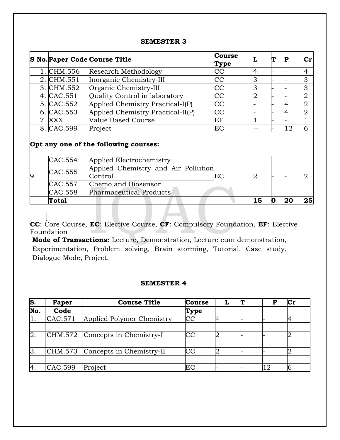### **SEMESTER 3**

|            | S No. Paper Code Course Title     | <b>Course</b><br>Type |  |    |  |
|------------|-----------------------------------|-----------------------|--|----|--|
| 1. CHM.556 | Research Methodology              | CC                    |  |    |  |
| 2. CHM.551 | Inorganic Chemistry-III           | CC                    |  |    |  |
| 3. CHM.552 | Organic Chemistry-III             | CC                    |  |    |  |
| 4. CAC.551 | Quality Control in laboratory     | <b>CC</b>             |  |    |  |
| 5. CAC.552 | Applied Chemistry Practical-I(P)  | CC                    |  |    |  |
| 6. CAC.553 | Applied Chemistry Practical-II(P) | CC                    |  |    |  |
| 7. XXX     | Value Based Course                | ΕF                    |  |    |  |
| 8. CAC.599 | Project                           | EС                    |  | 12 |  |

## **Opt any one of the following courses:**

|    | CAC.554      | Applied Electrochemistry            |    |    |  |  |
|----|--------------|-------------------------------------|----|----|--|--|
| 9. | CAC.555      | Applied Chemistry and Air Pollution |    |    |  |  |
|    |              | Control                             | EС |    |  |  |
|    | CAC.557      | Chemo and Biosensor                 |    |    |  |  |
|    | CAC.558      | Pharmaceutical Products             |    |    |  |  |
|    | <b>Total</b> |                                     |    | 15 |  |  |

**CC**: Core Course, **EC**: Elective Course, **CF**: Compulsory Foundation, **EF**: Elective Foundation

**Mode of Transactions:** Lecture, Demonstration, Lecture cum demonstration, Experimentation, Problem solving, Brain storming, Tutorial, Case study, Dialogue Mode, Project.

### **SEMESTER 4**

| S.             | Paper   | <b>Course Title</b>              | <b>Course</b>          |  | Сr |
|----------------|---------|----------------------------------|------------------------|--|----|
| No.            | Code    |                                  | Type                   |  |    |
|                | CAC.571 | Applied Polymer Chemistry        | CC                     |  |    |
|                |         |                                  |                        |  |    |
| $\mathbf{2}$ . |         | CHM.572 Concepts in Chemistry-I  | $\overline{\text{CC}}$ |  |    |
|                |         |                                  |                        |  |    |
|                |         | CHM.573 Concepts in Chemistry-II | $\overline{\text{cc}}$ |  |    |
|                |         |                                  |                        |  |    |
| 14.            | CAC.599 | Project                          | ЕC                     |  |    |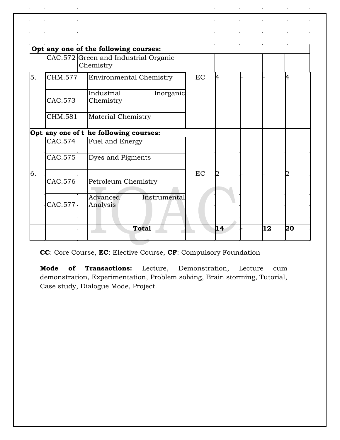|    |         | Opt any one of the following courses:             |    |    |    |    |
|----|---------|---------------------------------------------------|----|----|----|----|
|    |         | CAC.572 Green and Industrial Organic<br>Chemistry |    |    |    |    |
| 5. | CHM.577 | <b>Environmental Chemistry</b>                    | EC | 4  |    | 4  |
|    | CAC.573 | Industrial<br>Inorganic<br>Chemistry              |    |    |    |    |
|    | CHM.581 | Material Chemistry                                |    |    |    |    |
|    |         | Opt any one of t he following courses:            |    |    |    |    |
|    | CAC.574 | Fuel and Energy                                   |    |    |    |    |
|    | CAC.575 | Dyes and Pigments                                 |    |    |    |    |
| 6. | CAC.576 | Petroleum Chemistry                               | EC |    |    |    |
|    | CAC.577 | Advanced<br>Instrumental<br>Analysis              |    |    |    |    |
|    |         | <b>Total</b>                                      |    | 14 | 12 | 20 |

 $\hat{\mathbf{r}}$ 

 $\hat{\mathbf{r}}$ 

 $\ddot{\phantom{1}}$ 

 $\mathbf{r}$ 

 $\ddot{\phantom{1}}$ 

 $\hat{\mathbf{r}}$ 

 $\ddot{\phantom{1}}$ 

 $\hat{\mathbf{r}}$ 

 $\ddot{\phantom{a}}$ 

 $\mathbf{r}$ 

 $\ddot{\phantom{a}}$ 

à.

 $\hat{\mathbf{r}}$ 

l,

 $\ddot{\phantom{1}}$ 

 $\ddot{\phantom{1}}$ 

à.

**CC**: Core Course, **EC**: Elective Course, **CF**: Compulsory Foundation

**Mode of Transactions:** Lecture, Demonstration, Lecture cum demonstration, Experimentation, Problem solving, Brain storming, Tutorial, Case study, Dialogue Mode, Project.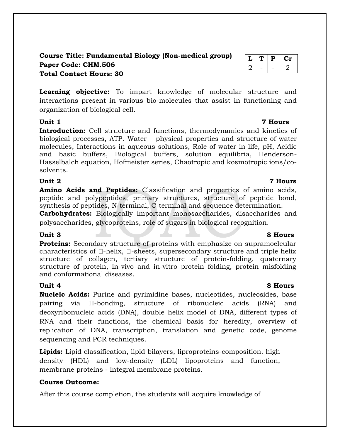## **Course Title: Fundamental Biology (Non-medical group) Paper Code: CHM.506 Total Contact Hours: 30**

**Learning objective:** To impart knowledge of molecular structure and interactions present in various bio-molecules that assist in functioning and organization of biological cell.

Introduction: Cell structure and functions, thermodynamics and kinetics of biological processes, ATP. Water – physical properties and structure of water molecules, Interactions in aqueous solutions, Role of water in life, pH, Acidic and basic buffers, Biological buffers, solution equilibria, Henderson-Hasselbalch equation, Hofmeister series, Chaotropic and kosmotropic ions/cosolvents.

## **Unit 2 7 Hours**

**Amino Acids and Peptides:** Classification and properties of amino acids, peptide and polypeptides, primary structures, structure of peptide bond, synthesis of peptides, N-terminal, C-terminal and sequence determination.

**Carbohydrates:** Biologically important monosaccharides, disaccharides and polysaccharides, glycoproteins, role of sugars in biological recognition.

**Proteins:** Secondary structure of proteins with emphasize on supramoelcular characteristics of  $\Box$ -helix,  $\Box$ -sheets, supersecondary structure and triple helix structure of collagen, tertiary structure of protein-folding, quaternary structure of protein, in-vivo and in-vitro protein folding, protein misfolding and conformational diseases.

**Nucleic Acids:** Purine and pyrimidine bases, nucleotides, nucleosides, base pairing via H-bonding, structure of ribonucleic acids (RNA) and deoxyribonucleic acids (DNA), double helix model of DNA, different types of RNA and their functions, the chemical basis for heredity, overview of replication of DNA, transcription, translation and genetic code, genome sequencing and PCR techniques.

**Lipids:** Lipid classification, lipid bilayers, liproproteins-composition. high density (HDL) and low-density (LDL) lipoproteins and function, membrane proteins - integral membrane proteins.

## **Course Outcome:**

After this course completion, the students will acquire knowledge of

### **Unit 3 8 Hours**

## **Unit 1 7 Hours**

## **Unit 4 8 Hours**

## $T | P | Cr$  $2$   $2$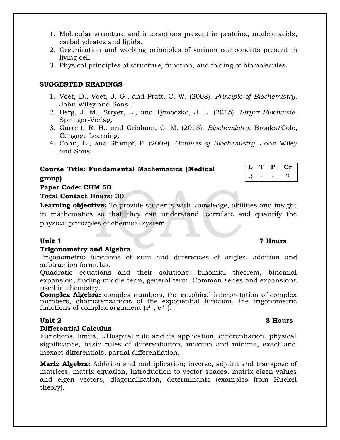- 1. Molecular structure and interactions present in proteins, nucleic acids, carbohydrates and lipids.
- 2. Organization and working principles of various components present in living cell.
- 3. Physical principles of structure, function, and folding of biomolecules.

## **SUGGESTED READINGS**

- 1. Voet, D., Voet, J. G., and Pratt, C. W. (2008). *Principle of Biochemistry*. John Wiley and Sons .
- 2. Berg, J. M., Stryer, L., and Tymoczko, J. L. (2015). *Stryer Biochemie*. Springer-Verlag.
- 3. Garrett, R. H., and Grisham, C. M. (2013). *Biochemistry*, Brooks/Cole, Cengage Learning.
- 4. Conn, E., and Stumpf, P. (2009). *Outlines of Biochemistry*. John Wiley and Sons.

## **Course Title: Fundamental Mathematics (Medical group)**

| ΞЬ. | т. | Р | U 21 |  |
|-----|----|---|------|--|
|     |    |   |      |  |

## **Paper Code: CHM.50**

## **Total Contact Hours: 30**

**Learning objective:** To provide students with knowledge, abilities and insight in mathematics so that they can understand, correlate and quantify the physical principles of chemical system.

### **Trigonometry and Algebra**

Trigonometric functions of sum and differences of angles, addition and subtraction formulas.

Quadratic equations and their solutions: binomial theorem, binomial expansion, finding middle term, general term. Common series and expansions used in chemistry.

**Complex Algebra:** complex numbers, the graphical interpretation of complex numbers, characterizations of the exponential function, the trigonometric functions of complex argument ( $e^{i\Box}$ ,  $e^{-i\Box}$ ).

## **Differential Calculus**

Functions, limits, L'Hospital rule and its application, differentiation, physical significance, basic rules of differentiation, maxima and minima, exact and inexact differentials, partial differentiation.

**Marix Algebra:** Addition and multiplication; inverse, adjoint and transpose of matrices, matrix equation, Introduction to vector spaces, matrix eigen values and eigen vectors, diagonalization, determinants (examples from Huckel theory).

## **Unit 1 7 Hours**

## **Unit-2 8 Hours**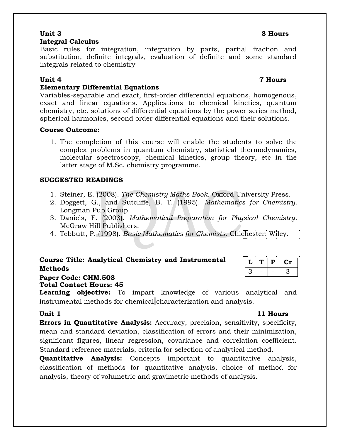### **Unit 3 8 Hours Integral Calculus**

Basic rules for integration, integration by parts, partial fraction and substitution, definite integrals, evaluation of definite and some standard integrals related to chemistry

### **Unit 4 7 Hours**

## **Elementary Differential Equations**

Variables-separable and exact, first-order differential equations, homogenous, exact and linear equations. Applications to chemical kinetics, quantum chemistry, etc. solutions of differential equations by the power series method, spherical harmonics, second order differential equations and their solutions.

### **Course Outcome:**

1. The completion of this course will enable the students to solve the complex problems in quantum chemistry, statistical thermodynamics, molecular spectroscopy, chemical kinetics, group theory, etc in the latter stage of M.Sc. chemistry programme.

## **SUGGESTED READINGS**

- 1. Steiner, E. (2008). *The Chemistry Maths Book*. Oxford University Press.
- 2. Doggett, G., and Sutcliffe, B. T. (1995). *Mathematics for Chemistry*. Longman Pub Group.
- 3. Daniels, F. (2003). *Mathematical Preparation for Physical Chemistry*. McGraw Hill Publishers.
- 4. Tebbutt, P. (1998). *Basic Mathematics for Chemists*. Chichester: Wiley.

## **Course Title: Analytical Chemistry and Instrumental Methods**

## **Paper Code: CHM.508**

**Total Contact Hours: 45**

**Learning objective:** To impart knowledge of various analytical and instrumental methods for chemical characterization and analysis.

**Unit 1 11 Hours**

**L T P Cr**  $3$  | - | - | 3

**Errors in Quantitative Analysis:** Accuracy, precision, sensitivity, specificity, mean and standard deviation, classification of errors and their minimization, significant figures, linear regression, covariance and correlation coefficient. Standard reference materials, criteria for selection of analytical method.

**Quantitative Analysis:** Concepts important to quantitative analysis, classification of methods for quantitative analysis, choice of method for analysis, theory of volumetric and gravimetric methods of analysis.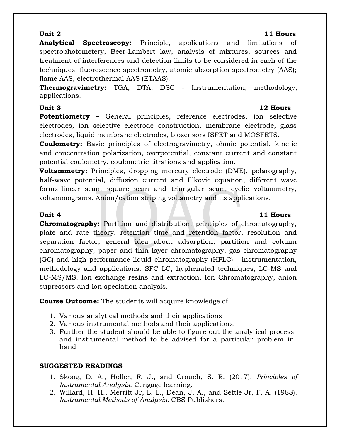## **Unit 2 11 Hours**

**Analytical Spectroscopy:** Principle, applications and limitations of spectrophotometery, Beer-Lambert law, analysis of mixtures, sources and treatment of interferences and detection limits to be considered in each of the techniques, fluorescence spectrometry, atomic absorption spectrometry (AAS); flame AAS, electrothermal AAS (ETAAS).

**Thermogravimetry:** TGA, DTA, DSC - Instrumentation, methodology, applications.

**Unit 3 12 Hours Potentiometry –** General principles, reference electrodes, ion selective electrodes, ion selective electrode construction, membrane electrode, glass electrodes, liquid membrane electrodes, biosensors ISFET and MOSFETS.

**Coulometry:** Basic principles of electrogravimetry, ohmic potential, kinetic and concentration polarization, overpotential, constant current and constant potential coulometry. coulometric titrations and application.

**Voltammetry:** Principles, dropping mercury electrode (DME), polarography, half-wave potential, diffusion current and Illkovic equation, different wave forms–linear scan, square scan and triangular scan, cyclic voltammetry, voltammograms. Anion/cation striping voltametry and its applications.

## **Unit 4 11 Hours**

**Chromatography:** Partition and distribution, principles of chromatography, plate and rate theory. retention time and retention factor, resolution and separation factor; general idea about adsorption, partition and column chromatography, paper and thin layer chromatography, gas chromatography (GC) and high performance liquid chromatography (HPLC) - instrumentation, methodology and applications. SFC LC, hyphenated techniques, LC-MS and LC-MS/MS. Ion exchange resins and extraction, Ion Chromatography, anion supressors and ion speciation analysis.

**Course Outcome:** The students will acquire knowledge of

- 1. Various analytical methods and their applications
- 2. Various instrumental methods and their applications.
- 3. Further the student should be able to figure out the analytical process and instrumental method to be advised for a particular problem in hand

## **SUGGESTED READINGS**

- 1. Skoog, D. A., Holler, F. J., and Crouch, S. R. (2017). *Principles of Instrumental Analysis*. Cengage learning.
- 2. Willard, H. H., Merritt Jr, L. L., Dean, J. A., and Settle Jr, F. A. (1988). *Instrumental Methods of Analysis.* CBS Publishers.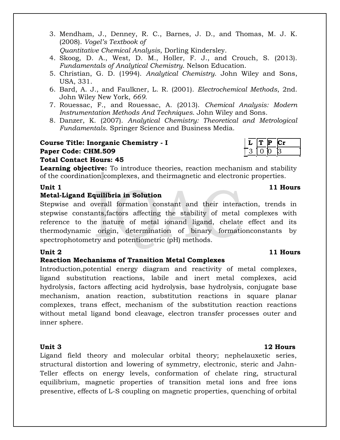- 3. Mendham, J., Denney, R. C., Barnes, J. D., and Thomas, M. J. K. (2008). *Vogel's Textbook of Quantitative Chemical Analysis*, Dorling Kindersley.
- 4. Skoog, D. A., West, D. M., Holler, F. J., and Crouch, S. (2013). *Fundamentals of Analytical Chemistry*. Nelson Education.
- 5. Christian, G. D. (1994). *Analytical Chemistry*. John Wiley and Sons, USA, 331.
- 6. Bard, A. J., and Faulkner, L. R. (2001). *Electrochemical Methods*, 2nd. John Wiley New York, *669*.
- 7. Rouessac, F., and Rouessac, A. (2013). *Chemical Analysis: Modern Instrumentation Methods And Techniques*. John Wiley and Sons.
- 8. Danzer, K. (2007). *Analytical Chemistry: Theoretical and Metrological Fundamentals*. Springer Science and Business Media.

## **Course Title: Inorganic Chemistry - I L T P Cr Paper Code: CHM.509**

## **Total Contact Hours: 45**

**Learning objective:** To introduce theories, reaction mechanism and stability of the coordination complexes, and theirmagnetic and electronic properties.

### **Unit 1 11 Hours**

## **Metal-Ligand Equilibria in Solution**

Stepwise and overall formation constant and their interaction, trends in stepwise constants,factors affecting the stability of metal complexes with reference to the nature of metal ionand ligand, chelate effect and its thermodynamic origin, determination of binary formationconstants by spectrophotometry and potentiometric (pH) methods.

### **Reaction Mechanisms of Transition Metal Complexes**

Introduction,potential energy diagram and reactivity of metal complexes, ligand substitution reactions, labile and inert metal complexes, acid hydrolysis, factors affecting acid hydrolysis, base hydrolysis, conjugate base mechanism, anation reaction, substitution reactions in square planar complexes, trans effect, mechanism of the substitution reaction reactions without metal ligand bond cleavage, electron transfer processes outer and inner sphere.

Ligand field theory and molecular orbital theory; nephelauxetic series, structural distortion and lowering of symmetry, electronic, steric and Jahn-Teller effects on energy levels, conformation of chelate ring, structural equilibrium, magnetic properties of transition metal ions and free ions presentive, effects of L-S coupling on magnetic properties, quenching of orbital

## **Unit 2 11 Hours**

### **Unit 3 12 Hours**

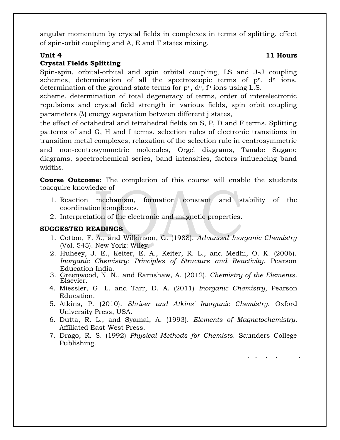angular momentum by crystal fields in complexes in terms of splitting. effect of spin-orbit coupling and A, E and T states mixing.

## **Unit 4** 11 Hours **Crystal Fields Splitting**

Spin-spin, orbital-orbital and spin orbital coupling, LS and J-J coupling schemes, determination of all the spectroscopic terms of  $p<sup>n</sup>$ ,  $d<sup>n</sup>$  ions, determination of the ground state terms for  $p^n$ ,  $d^n$ ,  $f^n$  ions using L.S.

scheme, determination of total degeneracy of terms, order of interelectronic repulsions and crystal field strength in various fields, spin orbit coupling parameters (λ) energy separation between different j states,

the effect of octahedral and tetrahedral fields on S, P, D and F terms. Splitting patterns of and G, H and I terms. selection rules of electronic transitions in transition metal complexes, relaxation of the selection rule in centrosymmetric and non-centrosymmetric molecules, Orgel diagrams, Tanabe Sugano diagrams, spectrochemical series, band intensities, factors influencing band widths.

**Course Outcome:** The completion of this course will enable the students toacquire knowledge of

- 1. Reaction mechanism, formation constant and stability of the coordination complexes.
- 2. Interpretation of the electronic and magnetic properties.

### **SUGGESTED READINGS**

- 1. Cotton, F. A., and Wilkinson, G. (1988). *Advanced Inorganic Chemistry* (Vol. 545). New York: Wiley.
- 2. Huheey, J. E., Keiter, E. A., Keiter, R. L., and Medhi, O. K. (2006). *Inorganic Chemistry: Principles of Structure and Reactivity*. Pearson Education India.
- 3. Greenwood, N. N., and Earnshaw, A. (2012). *Chemistry of the Elements*. Elsevier.
- 4. Miessler, G. L. and Tarr, D. A. (2011) *Inorganic Chemistry*, Pearson Education.
- 5. Atkins, P. (2010). *Shriver and Atkins' Inorganic Chemistry*. Oxford University Press, USA.
- 6. Dutta, R. L., and Syamal, A. (1993). *Elements of Magnetochemistry*. Affiliated East-West Press.
- 7. Drago, R. S. (1992) *Physical Methods for Chemists*. Saunders College Publishing.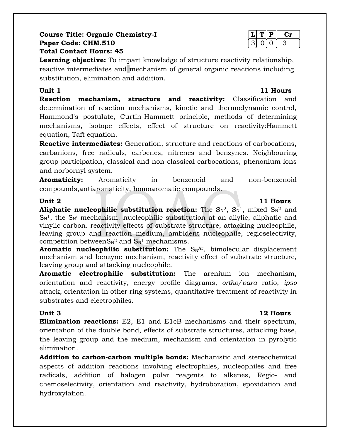## **Course Title: Organic Chemistry-I**  $|L|T|P|$  Cr **Paper Code: CHM.510** 3 0 0 3 **Total Contact Hours: 45**

**Learning objective:** To impart knowledge of structure reactivity relationship, reactive intermediates and mechanism of general organic reactions including substitution, elimination and addition.

**Unit 1 11 Hours Reaction mechanism, structure and reactivity:** Classification and determination of reaction mechanisms, kinetic and thermodynamic control, Hammond's postulate, Curtin-Hammett principle, methods of determining mechanisms, isotope effects, effect of structure on reactivity:Hammett equation, Taft equation.

**Reactive intermediates:** Generation, structure and reactions of carbocations, carbanions, free radicals, carbenes, nitrenes and benzynes. Neighbouring group participation, classical and non-classical carbocations, phenonium ions and norbornyl system.

**Aromaticity:** Aromaticity in benzenoid and non-benzenoid compounds,antiaromaticity, homoaromatic compounds.

**Aliphatic nucleophilic substitution reaction:** The  $\text{Sn}^2$ ,  $\text{Sn}^1$ , mixed  $\text{Sn}^2$  and  $S_N$ <sup>1</sup>, the  $S_N$ <sup>i</sup> mechanism. nucleophilic substitution at an allylic, aliphatic and vinylic carbon. reactivity effects of substrate structure, attacking nucleophile, leaving group and reaction medium, ambident nucleophile, regioselectivity, competition betweenS $N^2$  and  $S_N^1$  mechanisms.

**Aromatic nucleophilic substitution:** The S<sub>N</sub>Ar, bimolecular displacement mechanism and benzyne mechanism, reactivity effect of substrate structure, leaving group and attacking nucleophile.

**Aromatic electrophilic substitution:** The arenium ion mechanism, orientation and reactivity, energy profile diagrams, *ortho/para* ratio, *ipso* attack, orientation in other ring systems, quantitative treatment of reactivity in substrates and electrophiles.

## **Unit 3 12 Hours**

**Elimination reactions:** E2, E1 and E1cB mechanisms and their spectrum, orientation of the double bond, effects of substrate structures, attacking base, the leaving group and the medium, mechanism and orientation in pyrolytic elimination.

**Addition to carbon-carbon multiple bonds:** Mechanistic and stereochemical aspects of addition reactions involving electrophiles, nucleophiles and free radicals, addition of halogen polar reagents to alkenes, Regio- and chemoselectivity, orientation and reactivity, hydroboration, epoxidation and hydroxylation.

## **Unit 2 11 Hours**

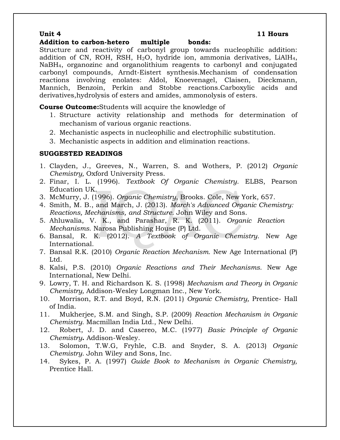### **Addition to carbon-hetero multiple bonds:**

Structure and reactivity of carbonyl group towards nucleophilic addition: addition of CN, ROH, RSH,  $H<sub>2</sub>O$ , hydride ion, ammonia derivatives, LiAlH<sub>4</sub>, NaBH4, organozinc and organolithium reagents to carbonyl and conjugated carbonyl compounds, Arndt-Eistert synthesis.Mechanism of condensation reactions involving enolates: Aldol, Knoevenagel, Claisen, Dieckmann, Mannich, Benzoin, Perkin and Stobbe reactions.Carboxylic acids and derivatives,hydrolysis of esters and amides, ammonolysis of esters.

**Course Outcome:**Students will acquire the knowledge of

- 1. Structure activity relationship and methods for determination of mechanism of various organic reactions.
- 2. Mechanistic aspects in nucleophilic and electrophilic substitution.
- 3. Mechanistic aspects in addition and elimination reactions.

### **SUGGESTED READINGS**

- 1. Clayden, J., Greeves, N., Warren, S. and Wothers, P. (2012) *Organic Chemistry,* Oxford University Press.
- 2. Finar, I. L. (1996). *Textbook Of Organic Chemistry*. ELBS, Pearson Education UK.
- 3. McMurry, J. (1996). *Organic Chemistry*, Brooks. Cole, New York, 657.
- 4. Smith, M. B., and March, J. (2013). *March's Advanced Organic Chemistry: Reactions, Mechanisms, and Structure*. John Wiley and Sons.
- 5. Ahluwalia, V. K., and Parashar, R. K. (2011). *Organic Reaction Mechanisms*. Narosa Publishing House (P) Ltd.
- 6. Bansal, R. K. (2012). *A Textbook of Organic Chemistry*. New Age International.
- 7. Bansal R.K. (2010) *Organic Reaction Mechanism.* New Age International (P) Ltd.
- 8. Kalsi, P.S. (2010) *Organic Reactions and Their Mechanisms.* New Age International, New Delhi.
- 9. Lowry, T. H. and Richardson K. S. (1998) *Mechanism and Theory in Organic Chemistry,* Addison-Wesley Longman Inc., New York.
- 10. Morrison, R.T. and Boyd, R.N. (2011) *Organic Chemistry,* Prentice- Hall of India.
- 11. Mukherjee, S.M. and Singh, S.P. (2009) *Reaction Mechanism in Organic Chemistry.* Macmillan India Ltd., New Delhi.
- 12. Robert, J. D. and Casereo, M.C. (1977) *Basic Principle of Organic Chemistry***.** Addison-Wesley.
- 13. Solomon, T.W.G, Fryhle, C.B. and Snyder, S. A. (2013) *Organic Chemistry*. John Wiley and Sons, Inc.
- 14. Sykes, P. A. (1997) *Guide Book to Mechanism in Organic Chemistry,* Prentice Hall.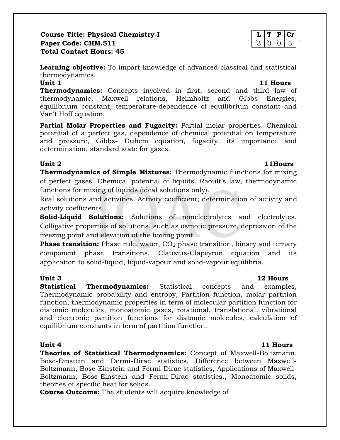## **Course Title: Physical Chemistry-I**  $\vert L \vert T \vert P \vert Cr$ **Paper Code: CHM.511 Total Contact Hours: 45**

**Learning objective:** To impart knowledge of advanced classical and statistical thermodynamics. **Unit 1 11 Hours**

**Thermodynamics:** Concepts involved in first, second and third law of thermodynamic, Maxwell relations, Helmholtz and Gibbs Energies, equilibrium constant, temperature-dependence of equilibrium constant and Van't Hoff equation.

**Partial Molar Properties and Fugacity:** Partial molar properties. Chemical potential of a perfect gas, dependence of chemical potential on temperature and pressure, Gibbs- Duhem equation, fugacity, its importance and determination, standard state for gases.

**Unit 2 11Hours Thermodynamics of Simple Mixtures:** Thermodynamic functions for mixing of perfect gases. Chemical potential of liquids. Raoult's law, thermodynamic functions for mixing of liquids (ideal solutions only).

Real solutions and activities. Activity coefficient; determination of activity and activity coefficients.

**Solid-Liquid Solutions:** Solutions of nonelectrolytes and electrolytes. Colligative properties of solutions, such as osmotic pressure, depression of the freezing point and elevation of the boiling point.

**Phase transition:** Phase rule, water, CO<sub>2</sub> phase transition, binary and ternary component phase transitions. Clausius-Clapeyron equation and its application to solid-liquid, liquid-vapour and solid-vapour equilibria.

**Statistical Thermodynamics:** Statistical concepts and examples, Thermodynamic probability and entropy, Partition function, molar partition function, thermodynamic properties in term of molecular partition function for diatomic molecules, monoatomic gases, rotational, translational, vibrational and electronic partition functions for diatomic molecules, calculation of equilibrium constants in term of partition function.

**Theories of Statistical Thermodynamics:** Concept of Maxwell-Boltzmann, Bose-Einstein and Dermi-Dirac statistics, Difference between Maxwell-Boltzmann, Bose-Einstein and Fermi-Dirac statistics, Applications of Maxwell-Boltzmann, Bose-Einstein and Fermi-Dirac statistics., Monoatomic solids, theories of specific heat for solids.

**Course Outcome:** The students will acquire knowledge of

## **Unit 3 12 Hours**

## **Unit 4 11 Hours**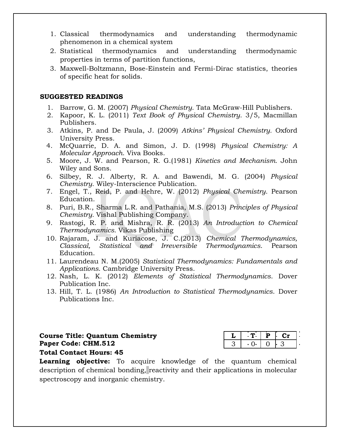- 1. Classical thermodynamics and understanding thermodynamic phenomenon in a chemical system
- 2. Statistical thermodynamics and understanding thermodynamic properties in terms of partition functions,
- 3. Maxwell-Boltzmann, Bose-Einstein and Fermi-Dirac statistics, theories of specific heat for solids.

### **SUGGESTED READINGS**

- 1. Barrow, G. M. (2007) *Physical Chemistry*. Tata McGraw-Hill Publishers.
- 2. Kapoor, K. L. (2011) *Text Book of Physical Chemistry*. 3/5, Macmillan Publishers.
- 3. Atkins, P. and De Paula, J. (2009) *Atkins' Physical Chemistry.* Oxford University Press.
- 4. McQuarrie, D. A. and Simon, J. D. (1998) *Physical Chemistry: A Molecular Approach*. Viva Books.
- 5. Moore, J. W. and Pearson, R. G.(1981) *Kinetics and Mechanism.* John Wiley and Sons.
- 6. Silbey, R. J. Alberty, R. A. and Bawendi, M. G. (2004) *Physical Chemistry*. Wiley-Interscience Publication.
- 7. Engel, T., Reid, P. and Hehre, W. (2012) *Physical Chemistry*. Pearson Education.
- 8. Puri, B.R., Sharma L.R. and Pathania, M.S. (2013) *Principles of Physical Chemistry.* Vishal Publishing Company.
- 9. Rastogi, R. P. and Mishra, R. R. (2013) *An Introduction to Chemical Thermodynamics.* Vikas Publishing
- 10. Rajaram, J. and Kuriacose, J. C.(2013) *Chemical Thermodynamics, Classical, Statistical and Irreversible Thermodynamics*. Pearson Education.
- 11. Laurendeau N. M.(2005) *Statistical Thermodynamics: Fundamentals and Applications*. Cambridge University Press.
- 12. Nash, L. K. (2012) *Elements of Statistical Thermodynamics*. Dover Publication Inc.
- 13. Hill, T. L. (1986) *An Introduction to Statistical Thermodynamics*. Dover Publications Inc.

**Course Title: Quantum Chemistry Paper Code: CHM.512 Total Contact Hours: 45**

**Learning objective:** To acquire knowledge of the quantum chemical description of chemical bonding, reactivity and their applications in molecular spectroscopy and inorganic chemistry.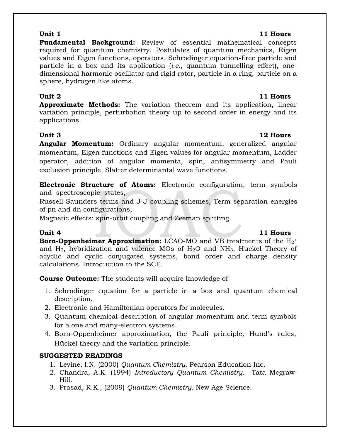**Fundamental Background:** Review of essential mathematical concepts required for quantum chemistry, Postulates of quantum mechanics, Eigen values and Eigen functions, operators, Schrodinger equation-Free particle and particle in a box and its application (*i.e.,* quantum tunnelling effect), onedimensional harmonic oscillator and rigid rotor, particle in a ring, particle on a sphere, hydrogen like atoms.

## **Unit 2 11 Hours**

**Approximate Methods:** The variation theorem and its application, linear variation principle, perturbation theory up to second order in energy and its applications.

**Unit 3 12 Hours Angular Momentum:** Ordinary angular momentum, generalized angular momentum, Eigen functions and Eigen values for angular momentum, Ladder operator, addition of angular momenta, spin, antisymmetry and Pauli exclusion principle, Slatter determinantal wave functions.

**Electronic Structure of Atoms:** Electronic configuration, term symbols and spectroscopic states,

Russell-Saunders terms and J-J coupling schemes, Term separation energies of pn and dn configurations,

Magnetic effects: spin-orbit coupling and Zeeman splitting.

## **Unit 4 11 Hours**

**Born-Oppenheimer Approximation:** LCAO-MO and VB treatments of the H<sub>2</sub><sup>+</sup> and  $H_2$ , hybridization and valence MOs of  $H_2O$  and NH<sub>3</sub>. Huckel Theory of acyclic and cyclic conjugated systems, bond order and charge density calculations. Introduction to the SCF.

**Course Outcome:** The students will acquire knowledge of

- 1. Schrodinger equation for a particle in a box and quantum chemical description.
- 2. Electronic and Hamiltonian operators for molecules.
- 3. Quantum chemical description of angular momentum and term symbols for a one and many-electron systems.
- 4. Born-Oppenheimer approximation, the Pauli principle, Hund's rules, Hückel theory and the variation principle.

## **SUGGESTED READINGS**

- 1. Levine, I.N. (2000) *Quantum Chemistry*. Pearson Education Inc.
- 2. Chandra, A.K. (1994) *Introductory Quantum Chemistry*. Tata Mcgraw-Hill.
- 3. Prasad, R.K., (2009) *Quantum Chemistry*. New Age Science.

## **Unit 1 11 Hours**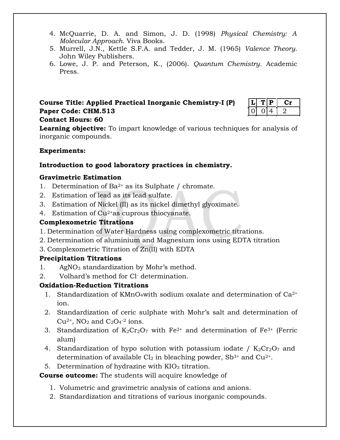- 4. McQuarrie, D. A. and Simon, J. D. (1998) *Physical Chemistry: A Molecular Approach.* Viva Books.
- 5. Murrell, J.N., Kettle S.F.A. and Tedder, J. M. (1965) *Valence Theory*. John Wiley Publishers.
- 6. Lowe, J. P. and Peterson, K., (2006). *Quantum Chemistry*. Academic Press.

## **Course Title: Applied Practical Inorganic Chemistry-I (P) Paper Code: CHM.513**

|  | ш |  |
|--|---|--|
|  | ж |  |

## **Contact Hours: 60**

**Learning objective:** To impart knowledge of various techniques for analysis of inorganic compounds.

## **Experiments:**

## **Introduction to good laboratory practices in chemistry.**

## **Gravimetric Estimation**

- 1. Determination of Ba<sup>2+</sup> as its Sulphate / chromate.
- 2. Estimation of lead as its lead sulfate.
- 3. Estimation of Nickel (II) as its nickel dimethyl glyoximate.
- 4. Estimation of  $Cu^{2+}$ as cuprous thiocyanate.

## **Complexometric Titrations**

- 1. Determination of Water Hardness using complexometric titrations.
- 2. Determination of aluminium and Magnesium ions using EDTA titration
- 3. Complexometric Titration of Zn(II) with EDTA

## **Precipitation Titrations**

- 1. AgNO<sub>3</sub> standardization by Mohr's method.
- 2. Volhard's method for Cl- determination.

## **Oxidation-Reduction Titrations**

- 1. Standardization of KMnO<sub>4</sub> with sodium oxalate and determination of  $Ca^{2+}$ ion.
- 2. Standardization of ceric sulphate with Mohr's salt and determination of  $Cu<sup>2+</sup>$ , NO<sub>2</sub> and C<sub>2</sub>O<sub>4</sub><sup>-2</sup> ions.
- 3. Standardization of  $K_2Cr_2O_7$  with  $Fe^{2+}$  and determination of  $Fe^{3+}$  (Ferric alum)
- 4. Standardization of hypo solution with potassium iodate /  $K_2Cr_2O_7$  and determination of available  $Cl_2$  in bleaching powder, Sb<sup>3+</sup> and Cu<sup>2+</sup>.
- 5. Determination of hydrazine with  $KIO<sub>3</sub>$  titration.

## **Course outcome:** The students will acquire knowledge of

- 1. Volumetric and gravimetric analysis of cations and anions.
- 2. Standardization and titrations of various inorganic compounds.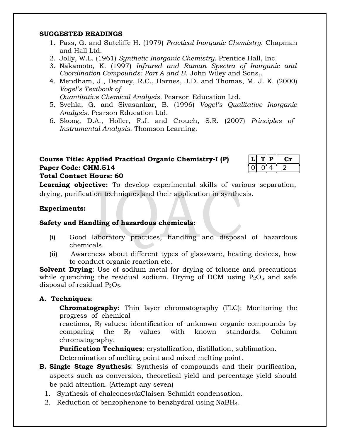### **SUGGESTED READINGS**

- 1. Pass, G. and Sutcliffe H. (1979) *Practical Inorganic Chemistry*. Chapman and Hall Ltd.
- 2. Jolly, W.L. (1961) *Synthetic Inorganic Chemistry*. Prentice Hall, Inc.
- 3. Nakamoto, K. (1997) *Infrared and Raman Spectra of Inorganic and Coordination Compounds: Part A and B*. John Wiley and Sons,.
- 4. Mendham, J., Denney, R.C., Barnes, J.D. and Thomas, M. J. K. (2000) *Vogel's Textbook of*

*Quantitative Chemical Analysis.* Pearson Education Ltd.

- 5. Svehla, G. and Sivasankar, B. (1996) *Vogel's Qualitative Inorganic Analysis*. Pearson Education Ltd.
- 6. Skoog, D.A., Holler, F.J. and Crouch, S.R. (2007) *Principles of Instrumental Analysis*. Thomson Learning.

## **Course Title: Applied Practical Organic Chemistry-I (P) Paper Code: CHM.514**

|  | u |  |
|--|---|--|
|  |   |  |

**Total Contact Hours: 60**

**Learning objective:** To develop experimental skills of various separation, drying, purification techniques and their application in synthesis.

### **Experiments:**

### **Safety and Handling of hazardous chemicals:**

- (i) Good laboratory practices, handling and disposal of hazardous chemicals.
- (ii) Awareness about different types of glassware, heating devices, how to conduct organic reaction etc.

**Solvent Drying**: Use of sodium metal for drying of toluene and precautions while quenching the residual sodium. Drying of DCM using  $P_2O_5$  and safe disposal of residual  $P_2O_5$ .

## **A. Techniques**:

**Chromatography:** Thin layer chromatography (TLC): Monitoring the progress of chemical

reactions,  $R_f$  values: identification of unknown organic compounds by comparing the  $R_f$  values with known standards. Column chromatography.

**Purification Techniques**: crystallization, distillation, sublimation.

Determination of melting point and mixed melting point.

- **B. Single Stage Synthesis**: Synthesis of compounds and their purification, aspects such as conversion, theoretical yield and percentage yield should be paid attention. (Attempt any seven)
	- 1. Synthesis of chalcones*via*Claisen-Schmidt condensation.
	- 2. Reduction of benzophenone to benzhydral using NaBH4.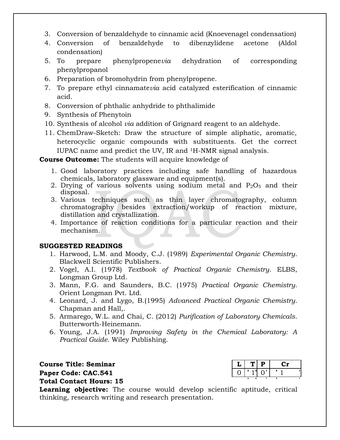- 3. Conversion of benzaldehyde to cinnamic acid (Knoevenagel condensation)
- 4. Conversion of benzaldehyde to dibenzylidene acetone (Aldol condensation)
- 5. To prepare phenylpropene*via* dehydration of corresponding phenylpropanol
- 6. Preparation of bromohydrin from phenylpropene.
- 7. To prepare ethyl cinnamate*via* acid catalyzed esterification of cinnamic acid.
- 8. Conversion of phthalic anhydride to phthalimide
- 9. Synthesis of Phenytoin
- 10. Synthesis of alcohol *via* addition of Grignard reagent to an aldehyde.
- 11. ChemDraw-Sketch: Draw the structure of simple aliphatic, aromatic, heterocyclic organic compounds with substituents. Get the correct IUPAC name and predict the UV, IR and 1H-NMR signal analysis.

**Course Outcome:** The students will acquire knowledge of

- 1. Good laboratory practices including safe handling of hazardous chemicals, laboratory glassware and equipment(s).
- 2. Drying of various solvents using sodium metal and  $P_2O_5$  and their disposal.
- 3. Various techniques such as thin layer chromatography, column chromatography besides extraction/workup of reaction mixture, distillation and crystallization.
- 4. Importance of reaction conditions for a particular reaction and their mechanism.

### **SUGGESTED READINGS**

- 1. Harwood, L.M. and Moody, C.J. (1989) *Experimental Organic Chemistry*. Blackwell Scientific Publishers.
- 2. Vogel, A.I. (1978) *Textbook of Practical Organic Chemistry*. ELBS, Longman Group Ltd.
- 3. Mann, F.G. and Saunders, B.C. (1975) *Practical Organic Chemistry*. Orient Longman Pvt. Ltd.
- 4. Leonard, J. and Lygo, B.(1995) *Advanced Practical Organic Chemistry*. Chapman and Hall,.
- 5. Armarego, W.L. and Chai, C. (2012) *Purification of Laboratory Chemicals*. Butterworth-Heinemann.
- 6. Young, J.A. (1991) *Improving Safety in the Chemical Laboratory: A Practical Guide.* Wiley Publishing.

 $C$  **Course Title: Seminar Paper Code: CAC.541 Total Contact Hours: 15**

**Learning objective:** The course would develop scientific aptitude, critical thinking, research writing and research presentation.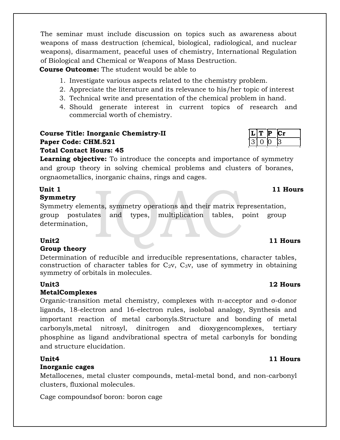The seminar must include discussion on topics such as awareness about weapons of mass destruction (chemical, biological, radiological, and nuclear weapons), disarmament, peaceful uses of chemistry, International Regulation of Biological and Chemical or Weapons of Mass Destruction.

**Course Outcome:** The student would be able to

- 1. Investigate various aspects related to the chemistry problem.
- 2. Appreciate the literature and its relevance to his/her topic of interest
- 3. Technical write and presentation of the chemical problem in hand.
- 4. Should generate interest in current topics of research and commercial worth of chemistry.

### **Course Title: Inorganic Chemistry-II LECTE THE R P Cr Paper Code: CHM.521 Total Contact Hours: 45**

**Learning objective:** To introduce the concepts and importance of symmetry and group theory in solving chemical problems and clusters of boranes, orgnaometallics, inorganic chains, rings and cages.

### **Unit 1 11 Hours Symmetry**

Symmetry elements, symmetry operations and their matrix representation, group postulates and types, multiplication tables, point group determination,

## **Group theory**

Determination of reducible and irreducible representations, character tables, construction of character tables for  $C_2v$ ,  $C_3v$ , use of symmetry in obtaining symmetry of orbitals in molecules.

## **Unit3 12 Hours**

## **MetalComplexes**

Organic-transition metal chemistry, complexes with π-acceptor and σ-donor ligands, 18-electron and 16-electron rules, isolobal analogy, Synthesis and important reaction of metal carbonyls.Structure and bonding of metal carbonyls,metal nitrosyl, dinitrogen and dioxygencomplexes, tertiary phosphine as ligand andvibrational spectra of metal carbonyls for bonding and structure elucidation.

## **Inorganic cages**

Metallocenes, metal cluster compounds, metal-metal bond, and non-carbonyl clusters, fluxional molecules.

Cage compoundsof boron: boron cage

## **Unit2 11 Hours**

## **Unit4 11 Hours**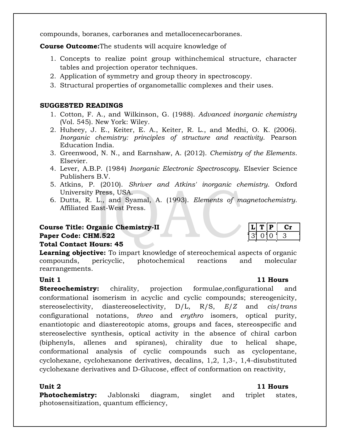compounds, boranes, carboranes and metallocenecarboranes.

**Course Outcome:**The students will acquire knowledge of

- 1. Concepts to realize point group withinchemical structure, character tables and projection operator techniques.
- 2. Application of symmetry and group theory in spectroscopy.
- 3. Structural properties of organometallic complexes and their uses.

### **SUGGESTED READINGS**

- 1. Cotton, F. A., and Wilkinson, G. (1988). *Advanced inorganic chemistry* (Vol. 545). New York: Wiley.
- 2. Huheey, J. E., Keiter, E. A., Keiter, R. L., and Medhi, O. K. (2006). *Inorganic chemistry: principles of structure and reactivity*. Pearson Education India.
- 3. Greenwood, N. N., and Earnshaw, A. (2012). *Chemistry of the Elements*. Elsevier.
- 4. Lever, A.B.P. (1984) *Inorganic Electronic Spectroscopy*. Elsevier Science Publishers B.V.
- 5. Atkins, P. (2010). *Shriver and Atkins' inorganic chemistry*. Oxford University Press, USA.
- 6. Dutta, R. L., and Syamal, A. (1993). *Elements of magnetochemistry*. Affiliated East-West Press.

## **Course Title: Organic Chemistry-II**

### **Paper Code: CHM.522**

### **Total Contact Hours: 45**

**Learning objective:** To impart knowledge of stereochemical aspects of organic compounds, pericyclic, photochemical reactions and molecular rearrangements.

**Stereochemistry:** chirality, projection formulae, configurational and conformational isomerism in acyclic and cyclic compounds; stereogenicity, stereoselectivity, diastereoselectivity, D/L, R/S, *E*/*Z* and *cis*/*trans* configurational notations, *threo* and *erythro* isomers, optical purity, enantiotopic and diastereotopic atoms, groups and faces, stereospecific and stereoselective synthesis, optical activity in the absence of chiral carbon (biphenyls, allenes and spiranes), chirality due to helical shape, conformational analysis of cyclic compounds such as cyclopentane, cyclohexane, cyclohexanone derivatives, decalins, 1,2, 1,3-, 1,4-disubstituted cyclohexane derivatives and D-Glucose, effect of conformation on reactivity,

**Photochemistry:** Jablonski diagram, singlet and triplet states, photosensitization, quantum efficiency,

## **Unit 1 11 Hours**

### **Unit 2 11 Hours**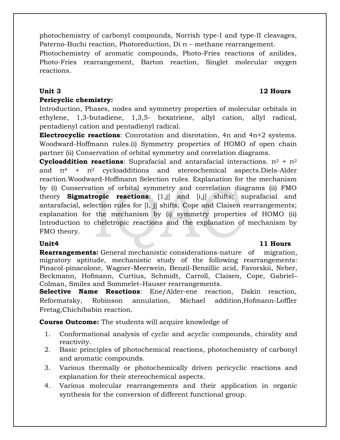photochemistry of carbonyl compounds, Norrish type-I and type-II cleavages, Paterno-Buchi reaction, Photoreduction, Di  $\pi$  – methane rearrangement.

Photochemistry of aromatic compounds, Photo-Fries reactions of anilides, Photo-Fries rearrangement, Barton reaction, Singlet molecular oxygen reactions.

## **Pericyclic chemistry:**

Introduction, Phases, nodes and symmetry properties of molecular orbitals in ethylene, 1,3-butadiene, 1,3,5- hexatriene, allyl cation, allyl radical, pentadienyl cation and pentadienyl radical.

**Electrocyclic reactions**: Conrotation and disrotation, 4n and 4n+2 systems. Woodward-Hoffmann rules.(i) Symmetry properties of HOMO of open chain partner (ii) Conservation of orbital symmetry and correlation diagrams.

**Cycloaddition reactions**: Suprafacial and antarafacial interactions.  $π<sup>2</sup> + π<sup>2</sup>$ and  $\pi^4$  +  $\pi^2$  cycloadditions and stereochemical aspects. Diels-Alder reaction.Woodward-Hoffmann Selection rules. Explanation for the mechanism by (i) Conservation of orbital symmetry and correlation diagrams (ii) FMO theory **Sigmatropic reactions**: [1,j] and [i,j] shifts; suprafacial and antarafacial, selection rules for [l, j] shifts; Cope and Claisen rearrangements; explanation for the mechanism by (i) symmetry properties of HOMO (ii) Introduction to cheletropic reactions and the explanation of mechanism by FMO theory.

### **Unit4 11 Hours**

**Rearrangements:** General mechanistic considerations-nature of migration, migratory aptitude, mechanistic study of the following rearrangements: Pinacol-pinacolone, Wagner-Meerwein, Benzil-Benzillic acid, Favorskii, Neber, Beckmann, Hofmann, Curtius, Schmidt, Carroll, Claisen, Cope, Gabriel– Colman, Smiles and Sommelet–Hauser rearrangements.

**Selective Name Reactions**: Ene/Alder-ene reaction, Dakin reaction, Reformatsky, Robinson annulation, Michael addition,Hofmann-Loffler Fretag,Chichibabin reaction.

**Course Outcome:** The students will acquire knowledge of

- 1. Conformational analysis of cyclic and acyclic compounds, chirality and reactivity.
- 2. Basic principles of photochemical reactions, photochemistry of carbonyl and aromatic compounds.
- 3. Various thermally or photochemically driven pericyclic reactions and explanation for their stereochemical aspects.
- 4. Various molecular rearrangements and their application in organic synthesis for the conversion of different functional group.

## **Unit 3 12 Hours**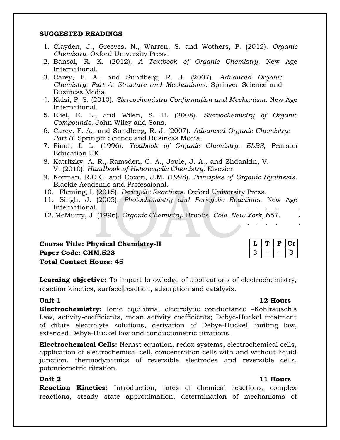### **SUGGESTED READINGS**

- 1. Clayden, J., Greeves, N., Warren, S. and Wothers, P. (2012). *Organic Chemistry.* Oxford University Press.
- 2. Bansal, R. K. (2012). *A Textbook of Organic Chemistry*. New Age International.
- 3. Carey, F. A., and Sundberg, R. J. (2007). *Advanced Organic Chemistry: Part A: Structure and Mechanisms.* Springer Science and Business Media.
- 4. Kalsi, P. S. (2010). *Stereochemistry Conformation and Mechanism*. New Age International.
- 5. Eliel, E. L., and Wilen, S. H. (2008). *Stereochemistry of Organic Compounds*. John Wiley and Sons.
- 6. Carey, F. A., and Sundberg, R. J. (2007). *Advanced Organic Chemistry: Part B*. Springer Science and Business Media.
- 7. Finar, I. L. (1996). *Textbook of Organic Chemistry*. *ELBS*, Pearson Education UK.
- 8. Katritzky, A. R., Ramsden, C. A., Joule, J. A., and Zhdankin, V. V. (2010). *Handbook of Heterocyclic Chemistry*. Elsevier.
- 9. Norman, R.O.C. and Coxon, J.M. (1998). *Principles of Organic Synthesis*. Blackie Academic and Professional.
- 10. Fleming, I. (2015). *Pericyclic Reactions*. Oxford University Press.
- 11. Singh, J. (2005). *Photochemistry and Pericyclic Reactions*. New Age International.
- 12. McMurry, J. (1996). *Organic Chemistry*, Brooks. *Cole, New York*, 657.

| <b>Course Title: Physical Chemistry-II</b> | $ L $ T $ P $ Cr |  |  |
|--------------------------------------------|------------------|--|--|
| Paper Code: CHM.523                        | $ 3  -  -3 $     |  |  |
| <b>Total Contact Hours: 45</b>             |                  |  |  |

**Learning objective:** To impart knowledge of applications of electrochemistry, reaction kinetics, surface reaction, adsorption and catalysis.

### **Unit 1 12 Hours**

**Electrochemistry:** Ionic equilibria, electrolytic conductance –Kohlrausch's Law, activity-coefficients, mean activity coefficients; Debye-Huckel treatment of dilute electrolyte solutions, derivation of Debye-Huckel limiting law, extended Debye-Huckel law and conductometric titrations.

**Electrochemical Cells:** Nernst equation, redox systems, electrochemical cells, application of electrochemical cell, concentration cells with and without liquid junction, thermodynamics of reversible electrodes and reversible cells, potentiometric titration.

**Reaction Kinetics:** Introduction, rates of chemical reactions, complex reactions, steady state approximation, determination of mechanisms of

## **Unit 2 11 Hours**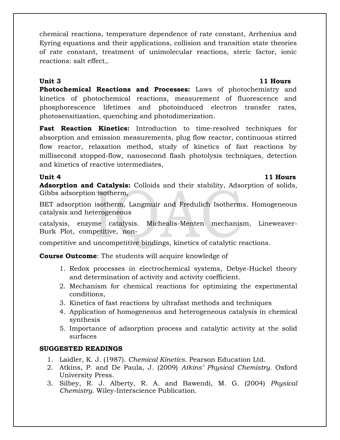chemical reactions, temperature dependence of rate constant, Arrhenius and Eyring equations and their applications, collision and transition state theories of rate constant, treatment of unimolecular reactions, steric factor, ionic reactions: salt effect,.

## **Unit 3 11 Hours**

**Photochemical Reactions and Processes:** Laws of photochemistry and kinetics of photochemical reactions, measurement of fluorescence and phosphorescence lifetimes and photoinduced electron transfer rates, photosensitization, quenching and photodimerization.

**Fast Reaction Kinetics:** Introduction to time-resolved techniques for absorption and emission measurements, plug flow reactor, continuous stirred flow reactor, relaxation method, study of kinetics of fast reactions by millisecond stopped-flow, nanosecond flash photolysis techniques, detection and kinetics of reactive intermediates,

### **Unit 4 11 Hours**

**Adsorption and Catalysis:** Colloids and their stability, Adsorption of solids, Gibbs adsorption isotherm,

BET adsorption isotherm, Langmuir and Fredulich Isotherms. Homogeneous catalysis and heterogeneous

catalysis, enzyme catalysis. Michealis-Menten mechanism, Lineweaver-Burk Plot, competitive, non-

competitive and uncompetitive bindings, kinetics of catalytic reactions.

**Course Outcome**: The students will acquire knowledge of

- 1. Redox processes in electrochemical systems, Debye-Huckel theory and determination of activity and activity coefficient.
- 2. Mechanism for chemical reactions for optimizing the experimental conditions,
- 3. Kinetics of fast reactions by ultrafast methods and techniques
- 4. Application of homogeneous and heterogeneous catalysis in chemical synthesis
- 5. Importance of adsorption process and catalytic activity at the solid surfaces

## **SUGGESTED READINGS**

- 1. Laidler, K. J. (1987). *Chemical Kinetics*. Pearson Education Ltd.
- 2. Atkins, P. and De Paula, J. (2009) *Atkins' Physical Chemistry.* Oxford University Press.
- 3. Silbey, R. J. Alberty, R. A. and Bawendi, M. G. (2004) *Physical Chemistry*. Wiley-Interscience Publication.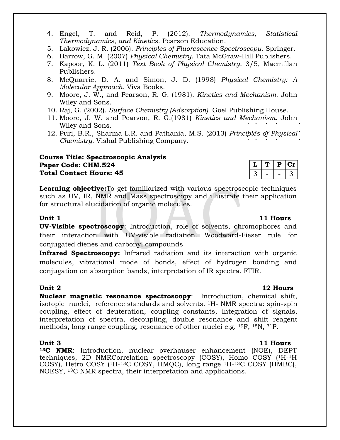- 4. Engel, T. and Reid, P. (2012). *Thermodynamics, Statistical Thermodynamics, and Kinetics*. Pearson Education.
- 5. Lakowicz, J. R. (2006). *Principles of Fluorescence Spectroscopy*. Springer.
- 6. Barrow, G. M. (2007) *Physical Chemistry*. Tata McGraw-Hill Publishers.
- 7. Kapoor, K. L. (2011) *Text Book of Physical Chemistry*. 3/5, Macmillan Publishers.
- 8. McQuarrie, D. A. and Simon, J. D. (1998) *Physical Chemistry: A Molecular Approach*. Viva Books.
- 9. Moore, J. W., and Pearson, R. G. (1981). *Kinetics and Mechanism*. John Wiley and Sons.
- 10. Raj, G. (2002). *Surface Chemistry (Adsorption)*. Goel Publishing House.
- 11. Moore, J. W. and Pearson, R. G.(1981) *Kinetics and Mechanism.* John Wiley and Sons.
- 12. Puri, B.R., Sharma L.R. and Pathania, M.S. (2013) *Principles of Physical Chemistry.* Vishal Publishing Company.

### **Course Title: Spectroscopic Analysis Paper Code: CHM.524 Total Contact Hours: 45**

conjugated dienes and carbonyl compounds

**Learning objective:**To get familiarized with various spectroscopic techniques such as UV, IR, NMR and Mass spectroscopy and illustrate their application for structural elucidation of organic molecules.

**Unit 1 11 Hours UV-Visible spectroscopy**: Introduction, role of solvents, chromophores and their interaction with UV-visible radiation. Woodward-Fieser rule for

**Infrared Spectroscopy:** Infrared radiation and its interaction with organic molecules, vibrational mode of bonds, effect of hydrogen bonding and conjugation on absorption bands, interpretation of IR spectra. FTIR.

### **Unit 2 12 Hours**

**Nuclear magnetic resonance spectroscopy**: Introduction, chemical shift, isotopic nuclei, reference standards and solvents. 1H- NMR spectra: spin-spin coupling, effect of deuteration, coupling constants, integration of signals, interpretation of spectra, decoupling, double resonance and shift reagent methods, long range coupling, resonance of other nuclei e.g. 19F, 15N, 31P.

**<sup>13</sup>C NMR**: Introduction, nuclear overhauser enhancement (NOE), DEPT techniques, 2D NMRCorrelation spectroscopy (COSY), Homo COSY (1H-<sup>1</sup>H COSY), Hetro COSY (1H-<sup>13</sup>C COSY, HMQC), long range <sup>1</sup>H-<sup>13</sup>C COSY (HMBC), NOESY, 13C NMR spectra, their interpretation and applications.

 $L | T | P | Cr$  $3 - - - 3$ 

### **Unit 3 11 Hours**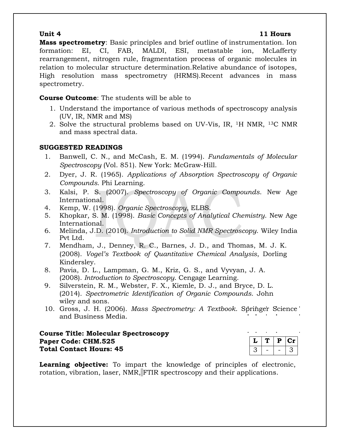### **Unit 4 11 Hours**

**Mass spectrometry**: Basic principles and brief outline of instrumentation. Ion formation: EI, CI, FAB, MALDI, ESI, metastable ion, McLafferty rearrangement, nitrogen rule, fragmentation process of organic molecules in relation to molecular structure determination.Relative abundance of isotopes, High resolution mass spectrometry (HRMS).Recent advances in mass spectrometry.

## **Course Outcome**: The students will be able to

- 1. Understand the importance of various methods of spectroscopy analysis (UV, IR, NMR and MS)
- 2. Solve the structural problems based on UV-Vis, IR, 1H NMR, 13C NMR and mass spectral data.

## **SUGGESTED READINGS**

- 1. Banwell, C. N., and McCash, E. M. (1994). *Fundamentals of Molecular Spectroscopy* (Vol. 851). New York: McGraw-Hill.
- 2. Dyer, J. R. (1965). *Applications of Absorption Spectroscopy of Organic Compounds*. Phi Learning.
- 3. Kalsi, P. S. (2007). *Spectroscopy of Organic Compounds*. New Age International.
- 4. Kemp, W. (1998). *Organic Spectroscopy*, ELBS.
- 5. Khopkar, S. M. (1998). *Basic Concepts of Analytical Chemistry*. New Age International.
- 6. Melinda, J.D. (2010). *Introduction to Solid NMR Spectroscopy*. Wiley India Pvt Ltd.
- 7. Mendham, J., Denney, R. C., Barnes, J. D., and Thomas, M. J. K. (2008). *Vogel's Textbook of Quantitative Chemical Analysis*, Dorling Kindersley.
- 8. Pavia, D. L., Lampman, G. M., Kriz, G. S., and Vyvyan, J. A. (2008). *Introduction to Spectroscopy*. Cengage Learning.
- 9. Silverstein, R. M., Webster, F. X., Kiemle, D. J., and Bryce, D. L. (2014). *Spectrometric Identification of Organic Compounds*. John wiley and sons.
- 10. Gross, J. H. (2006). *Mass Spectrometry: A Textbook*. Springer Science and Business Media.

## **Course Title: Molecular Spectroscopy Paper Code: CHM.525 Total Contact Hours: 45**

|  | u | ٠<br>. . |  |
|--|---|----------|--|
|  |   |          |  |

**Learning objective:** To impart the knowledge of principles of electronic, rotation, vibration, laser, NMR, FTIR spectroscopy and their applications.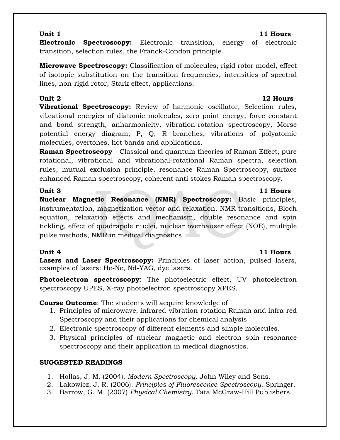## **Unit 1 11 Hours**

**Electronic Spectroscopy:** Electronic transition, energy of electronic transition, selection rules, the Franck-Condon principle.

**Microwave Spectroscopy:** Classification of molecules, rigid rotor model, effect of isotopic substitution on the transition frequencies, intensities of spectral lines, non-rigid rotor, Stark effect, applications.

**Vibrational Spectroscopy:** Review of harmonic oscillator, Selection rules, vibrational energies of diatomic molecules, zero point energy, force constant and bond strength, anharmonicity, vibration-rotation spectroscopy, Morse potential energy diagram, P, Q, R branches, vibrations of polyatomic molecules, overtones, hot bands and applications.

**Raman Spectroscopy** - Classical and quantum theories of Raman Effect, pure rotational, vibrational and vibrational-rotational Raman spectra, selection rules, mutual exclusion principle, resonance Raman Spectroscopy, surface enhanced Raman spectroscopy, coherent anti stokes Raman spectroscopy.

**Unit 3 11 Hours Nuclear Magnetic Resonance (NMR) Spectroscopy:** Basic principles, instrumentation, magnetization vector and relaxation, NMR transitions, Bloch equation, relaxation effects and mechanism, double resonance and spin tickling, effect of quadrapole nuclei, nuclear overhauser effect (NOE), multiple pulse methods, NMR in medical diagnostics.

## **Unit 4 11 Hours**

**Lasers and Laser Spectroscopy:** Principles of laser action, pulsed lasers, examples of lasers: He-Ne, Nd-YAG, dye lasers.

**Photoelectron spectroscopy**: The photoelectric effect, UV photoelectron spectroscopy UPES, X-ray photoelectron spectroscopy XPES.

**Course Outcome**: The students will acquire knowledge of

- 1. Principles of microwave, infrared-vibration-rotation Raman and infra-red Spectroscopy and their applications for chemical analysis
- 2. Electronic spectroscopy of different elements and simple molecules.
- 3. Physical principles of nuclear magnetic and electron spin resonance spectroscopy and their application in medical diagnostics.

## **SUGGESTED READINGS**

- 1. Hollas, J. M. (2004). *Modern Spectroscopy*. John Wiley and Sons.
- 2. Lakowicz, J. R. (2006). *Principles of Fluorescence Spectroscopy*. Springer.
- 3. Barrow, G. M. (2007) *Physical Chemistry*. Tata McGraw-Hill Publishers.

## **Unit 2 12 Hours**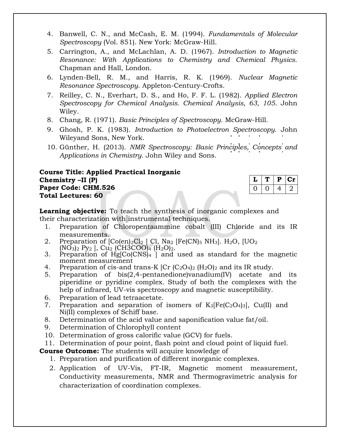- 4. Banwell, C. N., and McCash, E. M. (1994). *Fundamentals of Molecular Spectroscopy* (Vol. 851). New York: McGraw-Hill.
- 5. Carrington, A., and McLachlan, A. D. (1967). *Introduction to Magnetic Resonance: With Applications to Chemistry and Chemical Physics.*  Chapman and Hall, London.
- 6. Lynden-Bell, R. M., and Harris, R. K. (1969). *Nuclear Magnetic Resonance Spectroscopy*. Appleton-Century-Crofts.
- 7. Reilley, C. N., Everhart, D. S., and Ho, F. F. L. (1982). *Applied Electron Spectroscopy for Chemical Analysis. Chemical Analysis, 63, 105*. John Wiley.
- 8. Chang, R. (1971). *Basic Principles of Spectroscopy*. McGraw-Hill.
- 9. Ghosh, P. K. (1983). *Introduction to Photoelectron Spectroscopy*. John Wileyand Sons, New York.
- 10. Günther, H. (2013). *NMR Spectroscopy: Basic Principles, Concepts and Applications in Chemistry*. John Wiley and Sons.

### **Course Title: Applied Practical Inorganic Chemistry –II (P) Paper Code: CHM.526 Total Lectures: 60**

|  | Р   | 1 I L |
|--|-----|-------|
|  | . . |       |

**Learning objective:** To teach the synthesis of inorganic complexes and their characterization with instrumental techniques.

- 1. Preparation of Chloropentaammine cobalt (III) Chloride and its IR measurements.
- 2. Preparation of  $[Co(en)_2Cl_2 \, ]$  Cl, Na<sub>2</sub>  $[Fe(CN)_5 \, NH_3]$ . H<sub>2</sub>O,  $[UO_2]$  $(NO<sub>3</sub>)<sub>2</sub> Py<sub>2</sub>$ , Cu<sub>2</sub> (CH3COO)<sub>4</sub> (H<sub>2</sub>O)<sub>2</sub>.
- 3. Preparation of  $Hg[Co(CNS)_4]$  and used as standard for the magnetic moment measurement
- 4. Preparation of cis-and trans-K  $[Cr (C_2O_4)_2 (H_2O)_2]$  and its IR study.
- 5. Preparation of bis(2,4-pentanedione)vanadium(IV) acetate and its piperidine or pyridine complex. Study of both the complexes with the help of infrared, UV-vis spectroscopy and magnetic susceptibility.
- 6. Preparation of lead tetraacetate.
- 7. Preparation and separation of isomers of  $K_3[Fe(C_2O_4)_3]$ , Cu(II) and Ni(II) complexes of Schiff base.
- 8. Determination of the acid value and saponification value fat/oil.
- 9. Determination of Chlorophyll content
- 10. Determination of gross calorific value (GCV) for fuels.
- 11. Determination of pour point, flash point and cloud point of liquid fuel.

**Course Outcome:** The students will acquire knowledge of

- 1. Preparation and purification of different inorganic complexes.
- 2. Application of UV-Vis, FT-IR, Magnetic moment measurement, Conductivity measurements, NMR and Thermogravimetric analysis for characterization of coordination complexes.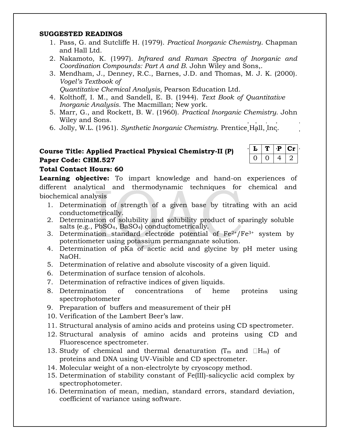### **SUGGESTED READINGS**

- 1. Pass, G. and Sutcliffe H. (1979). *Practical Inorganic Chemistry*. Chapman and Hall Ltd.
- 2. Nakamoto, K. (1997). *Infrared and Raman Spectra of Inorganic and Coordination Compounds: Part A and B*. John Wiley and Sons,.
- 3. Mendham, J., Denney, R.C., Barnes, J.D. and Thomas, M. J. K. (2000). *Vogel's Textbook of Quantitative Chemical Analysis,* Pearson Education Ltd.
- 4. Kolthoff, I. M., and Sandell, E. B. (1944). *Text Book of Quantitative Inorganic Analysis*. The Macmillan; New york.
- 5. Marr, G., and Rockett, B. W. (1960). *Practical Inorganic Chemistry*. John Wiley and Sons.
- 6. Jolly, W.L. (1961). *Synthetic Inorganic Chemistry*. Prentice Hall, Inc.

## **Course Title: Applied Practical Physical Chemistry-II (P) Paper Code: CHM.527**

| ٠ | ₽ | $C_{\mathbf{I}}$ |
|---|---|------------------|
|   |   |                  |

## **Total Contact Hours: 60**

**Learning objective:** To impart knowledge and hand-on experiences of different analytical and thermodynamic techniques for chemical and biochemical analysis

- 1. Determination of strength of a given base by titrating with an acid conductometrically.
- 2. Determination of solubility and solubility product of sparingly soluble salts (e.g., PbSO4, BaSO4) conductometrically.
- 3. Determination standard electrode potential of  $Fe^{2+}/Fe^{3+}$  system by potentiometer using potassium permanganate solution.
- 4. Determination of pKa of acetic acid and glycine by pH meter using NaOH.
- 5. Determination of relative and absolute viscosity of a given liquid.
- 6. Determination of surface tension of alcohols.
- 7. Determination of refractive indices of given liquids.
- 8. Determination of concentrations of heme proteins using spectrophotometer
- 9. Preparation of buffers and measurement of their pH
- 10. Verification of the Lambert Beer's law.
- 11. Structural analysis of amino acids and proteins using CD spectrometer.
- 12. Structural analysis of amino acids and proteins using CD and Fluorescence spectrometer.
- 13. Study of chemical and thermal denaturation ( $T_m$  and  $\Box H_m$ ) of proteins and DNA using UV-Visible and CD spectrometer.
- 14. Molecular weight of a non-electrolyte by cryoscopy method.
- 15. Determination of stability constant of Fe(III)-salicyclic acid complex by spectrophotometer.
- 16. Determination of mean, median, standard errors, standard deviation, coefficient of variance using software.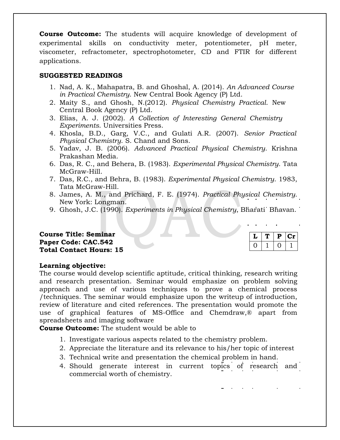**Course Outcome:** The students will acquire knowledge of development of experimental skills on conductivity meter, potentiometer, pH meter, viscometer, refractometer, spectrophotometer, CD and FTIR for different applications.

### **SUGGESTED READINGS**

- 1. Nad, A. K., Mahapatra, B. and Ghoshal, A. (2014). *An Advanced Course in Practical Chemistry*. New Central Book Agency (P) Ltd.
- 2. Maity S., and Ghosh, N.(2012). *Physical Chemistry Practical*. New Central Book Agency (P) Ltd.
- 3. Elias, A. J. (2002). *A Collection of Interesting General Chemistry Experiments*. Universities Press.
- 4. Khosla, B.D., Garg, V.C., and Gulati A.R. (2007). *Senior Practical Physical Chemistry*. S. Chand and Sons.
- 5. Yadav, J. B. (2006). *Advanced Practical Physical Chemistry*. Krishna Prakashan Media.
- 6. Das, R. C., and Behera, B. (1983). *Experimental Physical Chemistry*. Tata McGraw-Hill.
- 7. Das, R.C., and Behra, B. (1983). *Experimental Physical Chemistry*. 1983, Tata McGraw-Hill.
- 8. James, A. M., and Prichard, F. E. (1974). *Practical Physical Chemistry*. New York: Longman.
- 9. Ghosh, J.C. (1990). *Experiments in Physical Chemistry*, Bharati Bhavan.

### **Course Title: Seminar Paper Code: CAC.542 Total Contact Hours: 15**

|  | a. |
|--|----|
|  |    |

### **Learning objective:**

The course would develop scientific aptitude, critical thinking, research writing and research presentation. Seminar would emphasize on problem solving approach and use of various techniques to prove a chemical process /techniques. The seminar would emphasize upon the writeup of introduction, review of literature and cited references. The presentation would promote the use of graphical features of MS-Office and Chemdraw,® apart from spreadsheets and imaging software

**Course Outcome:** The student would be able to

- 1. Investigate various aspects related to the chemistry problem.
- 2. Appreciate the literature and its relevance to his/her topic of interest
- 3. Technical write and presentation the chemical problem in hand.
- 4. Should generate interest in current topics of research and commercial worth of chemistry.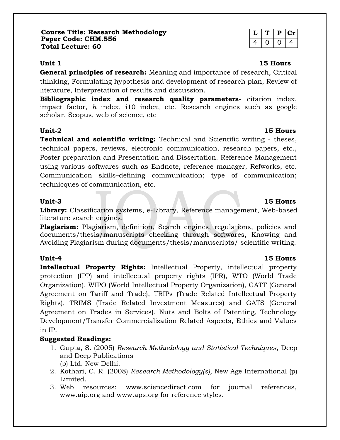**General principles of research:** Meaning and importance of research, Critical thinking, Formulating hypothesis and development of research plan, Review of literature, Interpretation of results and discussion.

**Bibliographic index and research quality parameters**- citation index, impact factor, *h* index, i10 index, etc. Research engines such as google scholar, Scopus, web of science, etc

## **Unit-2 15 Hours**

**Technical and scientific writing:** Technical and Scientific writing - theses, technical papers, reviews, electronic communication, research papers, etc., Poster preparation and Presentation and Dissertation. Reference Management using various softwares such as Endnote, reference manager, Refworks, etc. Communication skills–defining communication; type of communication; technicques of communication, etc.

### **Unit-3 15 Hours**

**Library:** Classification systems, e-Library, Reference management, Web-based literature search engines.

**Plagiarism:** Plagiarism, definition, Search engines, regulations, policies and documents/thesis/manuscripts checking through softwares, Knowing and Avoiding Plagiarism during documents/thesis/manuscripts/ scientific writing.

**Intellectual Property Rights:** Intellectual Property, intellectual property protection (IPP) and intellectual property rights (IPR), WTO (World Trade Organization), WIPO (World Intellectual Property Organization), GATT (General Agreement on Tariff and Trade), TRIPs (Trade Related Intellectual Property Rights), TRIMS (Trade Related Investment Measures) and GATS (General Agreement on Trades in Services), Nuts and Bolts of Patenting, Technology Development/Transfer Commercialization Related Aspects, Ethics and Values in IP.

## **Suggested Readings:**

- 1. Gupta, S. (2005) *Research Methodology and Statistical Techniques*, Deep and Deep Publications (p) Ltd. New Delhi.
- 2. Kothari, C. R. (2008) *Research Methodology(s)*, New Age International (p) Limited.
- 3. Web resources: www.sciencedirect.com for journal references, www.aip.org and www.aps.org for reference styles.

| u   | D | l :r |
|-----|---|------|
| . . |   | ч.   |

### **Unit 1 15 Hours**

### **Unit-4 15 Hours**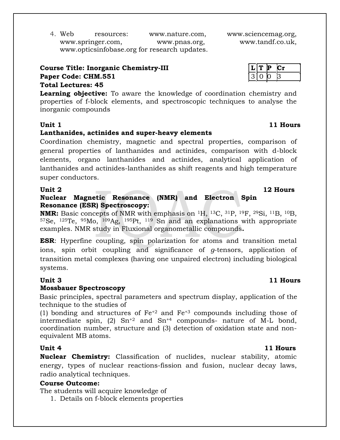4. Web resources: www.nature.com, www.sciencemag.org, www.springer.com, www.pnas.org, www.tandf.co.uk, www.opticsinfobase.org for research updates.

**Course Title: Inorganic Chemistry-III Paper Code: CHM.551** 

## **Total Lectures: 45**

**Learning objective:** To aware the knowledge of coordination chemistry and properties of f-block elements, and spectroscopic techniques to analyse the inorganic compounds

### **Unit 1 11 Hours**

### **Lanthanides, actinides and super-heavy elements**

Coordination chemistry, magnetic and spectral properties, comparison of general properties of lanthanides and actinides, comparison with d-block elements, organo lanthanides and actinides, analytical application of lanthanides and actinides-lanthanides as shift reagents and high temperature super conductors.

### **Unit 2 12 Hours Nuclear Magnetic Resonance (NMR) and Electron Spin Resonance (ESR) Spectroscopy:**

**NMR:** Basic concepts of NMR with emphasis on <sup>1</sup>H, <sup>13</sup>C, <sup>31</sup>P, <sup>19</sup>F, <sup>29</sup>Si, <sup>11</sup>B, <sup>10</sup>B, <sup>57</sup>Se, <sup>125</sup>Te, <sup>95</sup>Mo, <sup>109</sup>Ag, <sup>195</sup>Pt, <sup>119</sup> Sn and an explanations with appropriate examples. NMR study in Fluxional organometallic compounds**.**

**ESR**: Hyperfine coupling, spin polarization for atoms and transition metal ions, spin orbit coupling and significance of *g*-tensors, application of transition metal complexes (having one unpaired electron) including biological systems.

### **Mossbauer Spectroscopy**

Basic principles, spectral parameters and spectrum display, application of the technique to the studies of

(1) bonding and structures of  $Fe^{+2}$  and  $Fe^{+3}$  compounds including those of intermediate spin,  $(2)$  Sn<sup>+2</sup> and Sn<sup>+4</sup> compounds- nature of M-L bond, coordination number, structure and (3) detection of oxidation state and nonequivalent MB atoms.

**Nuclear Chemistry:** Classification of nuclides, nuclear stability, atomic energy, types of nuclear reactions-fission and fusion, nuclear decay laws, radio analytical techniques.

### **Course Outcome:**

The students will acquire knowledge of

1. Details on f-block elements properties

### **Unit 3 11 Hours**

### **Unit 4 11 Hours**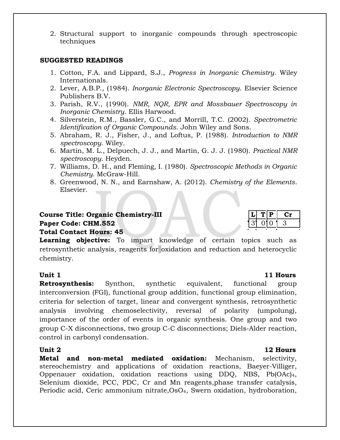2. Structural support to inorganic compounds through spectroscopic techniques

### **SUGGESTED READINGS**

- 1. Cotton, F.A. and Lippard, S.J., *Progress in Inorganic Chemistry*. Wiley Internationals.
- 2. Lever, A.B.P., (1984). *Inorganic Electronic Spectroscopy*. Elsevier Science Publishers B.V.
- 3. Parish, R.V., (1990). *NMR, NQR, EPR and Mossbauer Spectroscopy in Inorganic Chemistry*. Ellis Harwood.
- 4. Silverstein, R.M., Bassler, G.C., and Morrill, T.C. (2002). *Spectrometric Identification of Organic Compounds*. John Wiley and Sons.
- 5. Abraham, R. J., Fisher, J., and Loftus, P. (1988). *Introduction to NMR spectroscopy*. Wiley.
- 6. Martin, M. L., Delpuech, J. J., and Martin, G. J. J. (1980). *Practical NMR spectroscopy*. Heyden.
- 7. Williams, D. H., and Fleming, I. (1980). *Spectroscopic Methods in Organic Chemistry*. McGraw-Hill.
- 8. Greenwood, N. N., and Earnshaw, A. (2012). *Chemistry of the Elements*. Elsevier.

### **Course Title: Organic Chemistry-III Paper Code: CHM.552 Total Contact Hours: 45**

**Learning objective:** To impart knowledge of certain topics such as retrosynthetic analysis, reagents for oxidation and reduction and heterocyclic chemistry.

**Retrosynthesis:** Synthon, synthetic equivalent, functional group interconversion (FGI), functional group addition, functional group elimination, criteria for selection of target, linear and convergent synthesis, retrosynthetic analysis involving chemoselectivity, reversal of polarity (umpolung), importance of the order of events in organic synthesis. One group and two group C-X disconnections, two group C-C disconnections; Diels-Alder reaction, control in carbonyl condensation.

**Metal and non-metal mediated oxidation:** Mechanism, selectivity, stereochemistry and applications of oxidation reactions, Baeyer-Villiger, Oppenauer oxidation, oxidation reactions using DDQ, NBS, Pb(OAc)4, Selenium dioxide, PCC, PDC, Cr and Mn reagents,phase transfer catalysis, Periodic acid, Ceric ammonium nitrate,OsO4, Swern oxidation, hydroboration,

### **Unit 1 11 Hours**

### **Unit 2 12 Hours**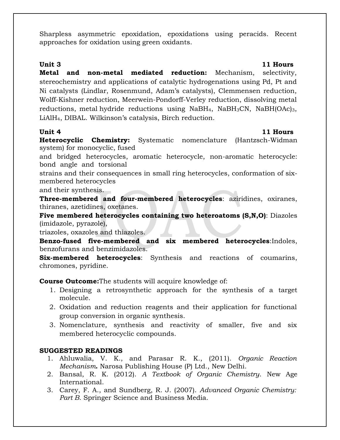Sharpless asymmetric epoxidation, epoxidations using peracids. Recent approaches for oxidation using green oxidants.

**Unit 3 11 Hours Metal and non-metal mediated reduction:** Mechanism, selectivity, stereochemistry and applications of catalytic hydrogenations using Pd, Pt and Ni catalysts (Lindlar, Rosenmund, Adam's catalysts), Clemmensen reduction, Wolff-Kishner reduction, Meerwein-Pondorff-Verley reduction, dissolving metal reductions, metal hydride reductions using  $N$ aBH<sub>4</sub>,  $N$ aBH<sub>3</sub>CN,  $N$ aBH $(OAc)_{3}$ , LiAlH4, DIBAL. Wilkinson's catalysis, Birch reduction.

## **Unit 4 11 Hours**

**Heterocyclic Chemistry:** Systematic nomenclature (Hantzsch-Widman system) for monocyclic, fused

and bridged heterocycles, aromatic heterocycle, non-aromatic heterocycle: bond angle and torsional

strains and their consequences in small ring heterocycles, conformation of sixmembered heterocycles

and their synthesis.

**Three-membered and four-membered heterocycles**: aziridines, oxiranes, thiranes, azetidines, oxetanes.

**Five membered heterocycles containing two heteroatoms (S,N,O)**: Diazoles (imidazole, pyrazole),

triazoles, oxazoles and thiazoles.

**Benzo-fused five-membered and six membered heterocycles**:Indoles, benzofurans and benzimidazoles.

**Six-membered heterocycles**: Synthesis and reactions of coumarins, chromones, pyridine.

**Course Outcome:**The students will acquire knowledge of:

- 1. Designing a retrosynthetic approach for the synthesis of a target molecule.
- 2. Oxidation and reduction reagents and their application for functional group conversion in organic synthesis.
- 3. Nomenclature, synthesis and reactivity of smaller, five and six membered heterocyclic compounds.

## **SUGGESTED READINGS**

- 1. Ahluwalia, V. K., and Parasar R. K., (2011). *Organic Reaction Mechanism***.** Narosa Publishing House (P) Ltd., New Delhi.
- 2. Bansal, R. K. (2012). *A Textbook of Organic Chemistry*. New Age International.
- 3. Carey, F. A., and Sundberg, R. J. (2007). *Advanced Organic Chemistry: Part B*. Springer Science and Business Media.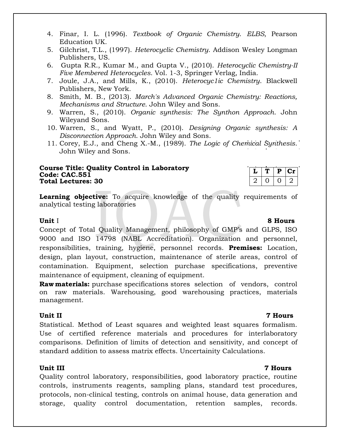- 4. Finar, I. L. (1996). *Textbook of Organic Chemistry*. *ELBS*, Pearson Education UK.
- 5. Gilchrist, T.L., (1997). *Heterocyclic Chemistry*. Addison Wesley Longman Publishers, US.
- 6. Gupta R.R., Kumar M., and Gupta V., (2010). *Heterocyclic Chemistry-II Five Membered Heterocycles*. Vol. 1-3, Springer Verlag, India.
- 7. Joule, J.A., and Mills, K., (2010). *Heterocyc1ic Chemistry*. Blackwell Publishers, New York.
- 8. Smith, M. B., (2013). *March's Advanced Organic Chemistry: Reactions, Mechanisms and Structure*. John Wiley and Sons.
- 9. Warren, S., (2010). *Organic synthesis: The Synthon Approach*. John Wileyand Sons.
- 10. Warren, S., and Wyatt, P., (2010). *Designing Organic synthesis: A Disconnection Approach*. John Wiley and Sons.
- 11. Corey, E.J., and Cheng X.-M., (1989). *The Logic of Chemical Synthesis*. John Wiley and Sons.

### **Course Title: Quality Control in Laboratory Code: CAC.551 Total Lectures: 30**

|  | υ | . . |
|--|---|-----|
|  |   |     |

**Learning objective:** To acquire knowledge of the quality requirements of analytical testing laboratories

### **Unit I 8 Hours**

Concept of Total Quality Management, philosophy of GMP's and GLPS, ISO 9000 and ISO 14798 (NABL Accreditation). Organization and personnel, responsibilities, training, hygiene, personnel records. **Premises:** Location, design, plan layout, construction, maintenance of sterile areas, control of contamination. Equipment, selection purchase specifications, preventive maintenance of equipment, cleaning of equipment.

**Raw materials:** purchase specifications stores selection of vendors, control on raw materials. Warehousing, good warehousing practices, materials management.

### **Unit II 7 Hours**

Statistical. Method of Least squares and weighted least squares formalism. Use of certified reference materials and procedures for interlaboratory comparisons. Definition of limits of detection and sensitivity, and concept of standard addition to assess matrix effects. Uncertainity Calculations.

### **Unit III 7 Hours**

Quality control laboratory, responsibilities, good laboratory practice, routine controls, instruments reagents, sampling plans, standard test procedures, protocols, non-clinical testing, controls on animal house, data generation and storage, quality control documentation, retention samples, records.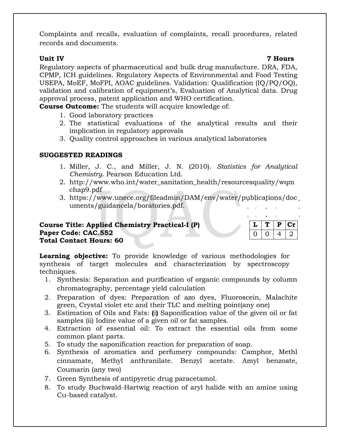Complaints and recalls, evaluation of complaints, recall procedures, related records and documents.

Regulatory aspects of pharmaceutical and bulk drug manufacture. DRA, FDA, CPMP, ICH guidelines. Regulatory Aspects of Environmental and Food Testing USEPA, MoEF, MoFPI, AOAC guidelines. Validation: Qualification (IQ/PQ/OQ), validation and calibration of equipment's, Evaluation of Analytical data. Drug approval process, patent application and WHO certification.

**Course Outcome:** The students will acquire knowledge of:

- 1. Good laboratory practices
- 2. The statistical evaluations of the analytical results and their implication in regulatory approvals
- 3. Quality control approaches in various analytical laboratories

## **SUGGESTED READINGS**

- 1. Miller, J. C., and Miller, J. N. (2010). *Statistics for Analytical Chemistry*. Pearson Education Ltd.
- 2. http://www.who.int/water\_sanitation\_health/resourcesquality/wqm chap9.pdf
- 3. https://www.unece.org/fileadmin/DAM/env/water/publications/doc uments/guidancela/boratories.pdf.

## **Course Title: Applied Chemistry Practical-I (P) Paper Code: CAC.552 Total Contact Hours: 60**

|  | ₽ | l :r |
|--|---|------|
|  |   |      |

**Learning objective:** To provide knowledge of various methodologies for synthesis of target molecules and characterization by spectroscopy techniques.

- 1. Synthesis: Separation and purification of organic compounds by column chromatography, percentage yield calculation
- 2. Preparation of dyes: Preparation of azo dyes, Fluoroscein, Malachite green, Crystal violet etc and their TLC and melting point(any one)
- 3. Estimation of Oils and Fats: **(**i**)** Saponification value of the given oil or fat samples (ii) Iodine value of a given oil or fat samples.
- 4. Extraction of essential oil: To extract the essential oils from some common plant parts.
- 5. To study the saponification reaction for preparation of soap.
- 6. Synthesis of aromatics and perfumery compounds: Camphor, Methl cinnamate, Methyl anthranilate. Benzyl acetate. Amyl benzoate, Coumarin (any two)
- 7. Green Synthesis of antipyretic drug paracetamol.
- 8. To study Buchwald-Hartwig reaction of aryl halide with an amine using Cu-based catalyst.

## **Unit IV 7 Hours**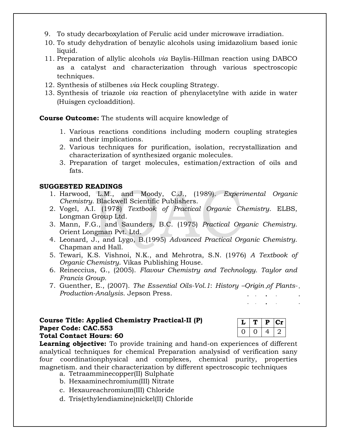- 9. To study decarboxylation of Ferulic acid under microwave irradiation.
- 10. To study dehydration of benzylic alcohols using imidazolium based ionic liquid.
- 11. Preparation of allylic alcohols *via* Baylis-Hillman reaction using DABCO as a catalyst and characterization through various spectroscopic techniques.
- 12. Synthesis of stilbenes *via* Heck coupling Strategy.
- 13. Synthesis of triazole *via* reaction of phenylacetylne with azide in water (Huisgen cycloaddition).

**Course Outcome:** The students will acquire knowledge of

- 1. Various reactions conditions including modern coupling strategies and their implications.
- 2. Various techniques for purification, isolation, recrystallization and characterization of synthesized organic molecules.
- 3. Preparation of target molecules, estimation/extraction of oils and fats.

## **SUGGESTED READINGS**

- 1. Harwood, L.M., and Moody, C.J., (1989). *Experimental Organic Chemistry*. Blackwell Scientific Publishers.
- 2. Vogel, A.I. (1978) *Textbook of Practical Organic Chemistry*. ELBS, Longman Group Ltd.
- 3. Mann, F.G., and Saunders, B.C. (1975) *Practical Organic Chemistry*. Orient Longman Pvt. Ltd.
- 4. Leonard, J., and Lygo, B.(1995) *Advanced Practical Organic Chemistry*. Chapman and Hall.
- 5. Tewari, K.S. Vishnoi, N.K., and Mehrotra, S.N. (1976) *A Textbook of Organic Chemistry*. Vikas Publishing House.
- 6. Reineccius, G., (2005). *Flavour Chemistry and Technology. Taylor and Francis Group.*
- 7. Guenther, E., (2007). *The Essential Oils-Vol.1*: *History –Origin of Plants-Production-Analysis*. Jepson Press.

### **Course Title: Applied Chemistry Practical-II (P) Paper Code: CAC.553 Total Contact Hours: 60**

**Learning objective:** To provide training and hand-on experiences of different analytical techniques for chemical Preparation analysisd of verification sany four coordinationphysical and complexes, chemical purity, properties magnetism. and their characterization by different spectroscopic techniques

- a. Tetraamminecopper(II) Sulphate
- b. Hexaaminechromium(III) Nitrate
- c. Hexaureachromium(III) Chloride
- d. Tris(ethylendiamine)nickel(II) Chloride

|  | ш |  |
|--|---|--|
|  |   |  |

 $\mathcal{L}_{\rm{max}}$  and  $\mathcal{L}_{\rm{max}}$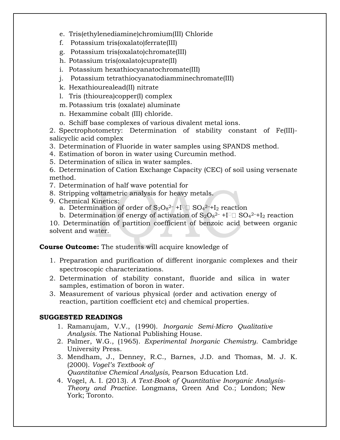- e. Tris(ethylenediamine)chromium(III) Chloride
- f. Potassium tris(oxalato)ferrate(III)
- g. Potassium tris(oxalato)chromate(III)
- h. Potassium tris(oxalato)cuprate(II)
- i. Potassium hexathiocyanatochromate(III)
- j. Potassium tetrathiocyanatodiamminechromate(III)
- k. Hexathiourealead(II) nitrate
- l. Tris (thiourea)copper(I) complex
- m. Potassium tris (oxalate) aluminate
- n. Hexammine cobalt (III) chloride.
- o. Schiff base complexes of various divalent metal ions.

2. Spectrophotometry: Determination of stability constant of Fe(III) salicyclic acid complex

- 3. Determination of Fluoride in water samples using SPANDS method.
- 4. Estimation of boron in water using Curcumin method.
- 5. Determination of silica in water samples.
- 6. Determination of Cation Exchange Capacity (CEC) of soil using versenate method.
- 7. Determination of half wave potential for
- 8. Stripping voltametric analysis for heavy metals.
- 9. Chemical Kinetics:
	- a. Determination of order of  $\rm S_2O_8$ <sup>2–</sup> +I $^{\scriptscriptstyle\Box}$   $\rm \overline{SO_4}$ <sup>2–</sup>+I $_2$  reaction
	- b. Determination of energy of activation of  $S_2O_8^{2-} + I^{\square} \square SO_4^{2-} + I_2$  reaction

10. Determination of partition coefficient of benzoic acid between organic solvent and water.

## **Course Outcome:** The students will acquire knowledge of

- 1. Preparation and purification of different inorganic complexes and their spectroscopic characterizations.
- 2. Determination of stability constant, fluoride and silica in water samples, estimation of boron in water.
- 3. Measurement of various physical (order and activation energy of reaction, partition coefficient etc) and chemical properties.

## **SUGGESTED READINGS**

- 1. Ramanujam, V.V., (1990). *Inorganic Semi-Micro Qualitative Analysis*. The National Publishing House.
- 2. Palmer, W.G., (1965). *Experimental Inorganic Chemistry*. Cambridge University Press.
- 3. Mendham, J., Denney, R.C., Barnes, J.D. and Thomas, M. J. K. (2000). *Vogel's Textbook of Quantitative Chemical Analysis,* Pearson Education Ltd.
- 4. Vogel, A. I. (2013). *A Text-Book of Quantitative Inorganic Analysis-Theory and Practice*. Longmans, Green And Co.; London; New York; Toronto.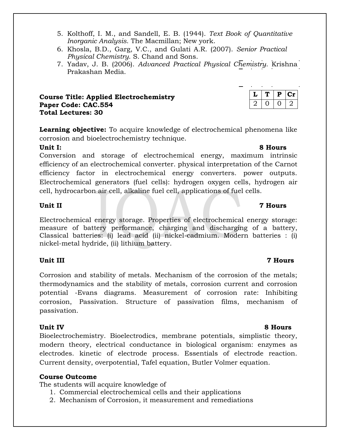- 5. Kolthoff, I. M., and Sandell, E. B. (1944). *Text Book of Quantitative Inorganic Analysis*. The Macmillan; New york.
- 6. Khosla, B.D., Garg, V.C., and Gulati A.R. (2007). *Senior Practical Physical Chemistry*. S. Chand and Sons.
- 7. Yadav, J. B. (2006). *Advanced Practical Physical Chemistry*. Krishna Prakashan Media.

### **Course Title: Applied Electrochemistry Paper Code: CAC.554 Total Lectures: 30**

**Learning objective:** To acquire knowledge of electrochemical phenomena like corrosion and bioelectrochemistry technique.

Conversion and storage of electrochemical energy, maximum intrinsic efficiency of an electrochemical converter. physical interpretation of the Carnot efficiency factor in electrochemical energy converters. power outputs. Electrochemical generators (fuel cells): hydrogen oxygen cells, hydrogen air cell, hydrocarbon air cell, alkaline fuel cell, applications of fuel cells.

Electrochemical energy storage. Properties of electrochemical energy storage: measure of battery performance, charging and discharging of a battery, Classical batteries: (i) lead acid (ii) nickel-cadmium. Modern batteries : (i) nickel-metal hydride, (ii) lithium battery.

## **Unit III 7 Hours**

Corrosion and stability of metals. Mechanism of the corrosion of the metals; thermodynamics and the stability of metals, corrosion current and corrosion potential -Evans diagrams. Measurement of corrosion rate: Inhibiting corrosion, Passivation. Structure of passivation films, mechanism of passivation.

Bioelectrochemistry. Bioelectrodics, membrane potentials, simplistic theory, modern theory, electrical conductance in biological organism: enzymes as electrodes. kinetic of electrode process. Essentials of electrode reaction. Current density, overpotential, Tafel equation, Butler Volmer equation.

## **Course Outcome**

The students will acquire knowledge of

- 1. Commercial electrochemical cells and their applications
- 2. Mechanism of Corrosion, it measurement and remediations

## **Unit II 7 Hours**

### **Unit IV 8 Hours**

## **Unit I: 8 Hours**

# $L | T | P | Cr$  $2 | 0 | 0 | 2$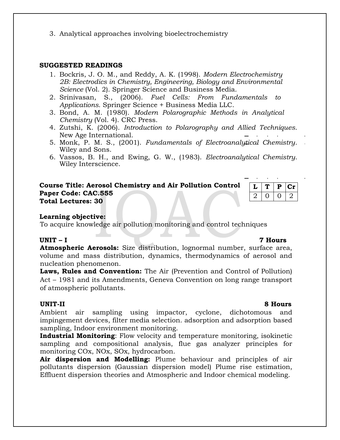3. Analytical approaches involving bioelectrochemistry

### **SUGGESTED READINGS**

- 1. Bockris, J. O. M., and Reddy, A. K. (1998). *Modern Electrochemistry 2B: Electrodics in Chemistry, Engineering, Biology and Environmental Science* (Vol. 2). Springer Science and Business Media.
- 2. Srinivasan, S., (2006). *Fuel Cells: From Fundamentals to Applications*. Springer Science + Business Media LLC.
- 3. Bond, A. M. (1980). *Modern Polarographic Methods in Analytical Chemistry* (Vol. 4). CRC Press.
- 4. Zutshi, K. (2006). *Introduction to Polarography and Allied Techniques*. New Age International.
- 5. Monk, P. M. S., (2001). *Fundamentals of Electroanalytical Chemistry*. Wiley and Sons.
- 6. Vassos, B. H., and Ewing, G. W., (1983). *Electroanalytical Chemistry*. Wiley Interscience.

### **Course Title: Aerosol Chemistry and Air Pollution Control Paper Code: CAC.555 Total Lectures: 30**

|  | ٠ | $\mathbf{C}$ |
|--|---|--------------|
|  |   |              |

### **Learning objective:**

To acquire knowledge air pollution monitoring and control techniques

### **UNIT – I 7 Hours**

**Atmospheric Aerosols:** Size distribution, lognormal number, surface area, volume and mass distribution, dynamics, thermodynamics of aerosol and nucleation phenomenon.

**Laws, Rules and Convention:** The Air (Prevention and Control of Pollution) Act – 1981 and its Amendments, Geneva Convention on long range transport of atmospheric pollutants.

Ambient air sampling using impactor, cyclone, dichotomous and impingement devices, filter media selection. adsorption and adsorption based sampling, Indoor environment monitoring.

**Industrial Monitoring**: Flow velocity and temperature monitoring, isokinetic sampling and compositional analysis, flue gas analyzer principles for monitoring COx, NOx, SOx, hydrocarbon.

**Air dispersion and Modelling:** Plume behaviour and principles of air pollutants dispersion (Gaussian dispersion model) Plume rise estimation, Effluent dispersion theories and Atmospheric and Indoor chemical modeling.

### **UNIT-II 8 Hours**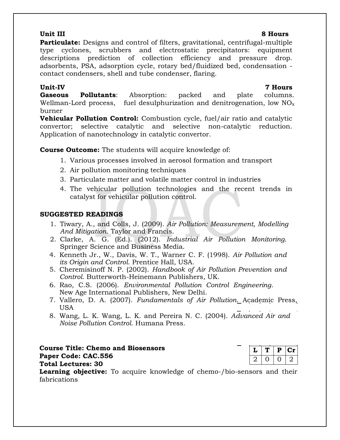### **Unit III 8 Hours**

**Particulate:** Designs and control of filters, gravitational, centrifugal-multiple type cyclones, scrubbers and electrostatic precipitators: equipment descriptions prediction of collection efficiency and pressure drop. adsorbents, PSA, adsorption cycle, rotary bed/fluidized bed, condensation contact condensers, shell and tube condenser, flaring.

### **Unit-IV 7 Hours**

**Gaseous Pollutants**: Absorption: packed and plate columns. Wellman-Lord process, fuel desulphurization and denitrogenation, low  $NO<sub>x</sub>$ burner

**Vehicular Pollution Control:** Combustion cycle, fuel/air ratio and catalytic convertor; selective catalytic and selective non-catalytic reduction. Application of nanotechnology in catalytic convertor.

**Course Outcome:** The students will acquire knowledge of:

- 1. Various processes involved in aerosol formation and transport
- 2. Air pollution monitoring techniques
- 3. Particulate matter and volatile matter control in industries
- 4. The vehicular pollution technologies and the recent trends in catalyst for vehicular pollution control.

## **SUGGESTED READINGS**

- 1. Tiwary, A., and Colls, J. (2009). *Air Pollution: Measurement, Modelling And Mitigation*. Taylor and Francis.
- 2. Clarke, A. G. (Ed.). (2012). *Industrial Air Pollution Monitoring*. Springer Science and Business Media.
- 4. Kenneth Jr., W., Davis, W. T., Warner C. F. (1998). *Air Pollution and its Origin and Control*. Prentice Hall, USA.
- 5. Cheremisinoff N. P. (2002). *Handbook of Air Pollution Prevention and Control*. Butterworth-Heinemann Publishers, UK.
- 6. Rao, C.S. (2006). *Environmental Pollution Control Engineering*. New Age International Publishers, New Delhi.
- 7. Vallero, D. A. (2007). *Fundamentals of Air Pollution*. Academic Press, USA
- 8. Wang, L. K. Wang, L. K. and Pereira N. C. (2004). *Advanced Air and Noise Pollution Control*. Humana Press.

**Course Title: Chemo and Biosensors Paper Code: CAC.556 Total Lectures: 30**

|  | D | L 31 |
|--|---|------|
|  |   |      |

**Learning objective:** To acquire knowledge of chemo-/bio-sensors and their fabrications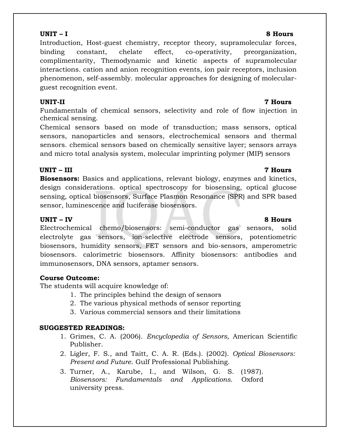Introduction, Host-guest chemistry, receptor theory, supramolecular forces, binding constant, chelate effect, co-operativity, preorganization, complimentarity, Themodynamic and kinetic aspects of supramolecular interactions. cation and anion recognition events, ion pair receptors, inclusion phenomenon, self-assembly. molecular approaches for designing of molecularguest recognition event.

Fundamentals of chemical sensors, selectivity and role of flow injection in chemical sensing.

Chemical sensors based on mode of transduction; mass sensors, optical sensors, nanoparticles and sensors, electrochemical sensors and thermal sensors. chemical sensors based on chemically sensitive layer; sensors arrays and micro total analysis system, molecular imprinting polymer (MIP) sensors

## **UNIT – III 7 Hours**

**Biosensors:** Basics and applications, relevant biology, enzymes and kinetics, design considerations. optical spectroscopy for biosensing, optical glucose sensing, optical biosensors, Surface Plasmon Resonance (SPR) and SPR based sensor, luminescence and luciferase biosensors.

## **UNIT – IV 8 Hours**

Electrochemical chemo/biosensors: semi-conductor gas sensors, solid electrolyte gas sensors, ion-selective electrode sensors, potentiometric biosensors, humidity sensors, FET sensors and bio-sensors, amperometric biosensors. calorimetric biosensors. Affinity biosensors: antibodies and immunosensors, DNA sensors, aptamer sensors.

## **Course Outcome:**

The students will acquire knowledge of:

- 1. The principles behind the design of sensors
- 2. The various physical methods of sensor reporting
- 3. Various commercial sensors and their limitations

### **SUGGESTED READINGS:**

- 1. Grimes, C. A. (2006). *Encyclopedia of Sensors,* American Scientific Publisher.
- 2. Ligler, F. S., and Taitt, C. A. R. (Eds.). (2002). *Optical Biosensors: Present and Future*. Gulf Professional Publishing.
- 3. Turner, A., Karube, I., and Wilson, G. S. (1987). *Biosensors: Fundamentals and Applications*. Oxford university press.

### **UNIT – I 8 Hours**

## **UNIT-II 7 Hours**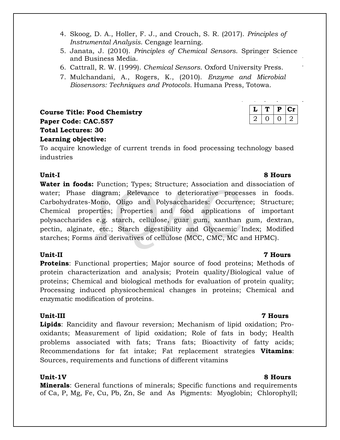- 4. Skoog, D. A., Holler, F. J., and Crouch, S. R. (2017). *Principles of Instrumental Analysis*. Cengage learning.
- 5. Janata, J. (2010). *Principles of Chemical Sensors*. Springer Science and Business Media.
- 6. Cattrall, R. W. (1999). *Chemical Sensors*. Oxford University Press.
- 7. Mulchandani, A., Rogers, K., (2010). *Enzyme and Microbial Biosensors: Techniques and Protocols.* Humana Press, Totowa.

**Course Title: Food Chemistry Paper Code: CAC.557 Total Lectures: 30 Learning objective:** 

To acquire knowledge of current trends in food processing technology based industries

## **Unit-I 8 Hours**

Water in foods: Function; Types; Structure; Association and dissociation of water; Phase diagram; Relevance to deteriorative processes in foods. Carbohydrates-Mono, Oligo and Polysaccharides: Occurrence; Structure; Chemical properties; Properties and food applications of important polysaccharides e.g. starch, cellulose, guar gum, xanthan gum, dextran, pectin, alginate, etc.; Starch digestibility and Glycaemic Index; Modified starches; Forms and derivatives of cellulose (MCC, CMC, MC and HPMC).

**Proteins:** Functional properties; Major source of food proteins; Methods of protein characterization and analysis; Protein quality/Biological value of proteins; Chemical and biological methods for evaluation of protein quality; Processing induced physicochemical changes in proteins; Chemical and enzymatic modification of proteins.

**Lipids**: Rancidity and flavour reversion; Mechanism of lipid oxidation; Prooxidants; Measurement of lipid oxidation; Role of fats in body; Health problems associated with fats; Trans fats; Bioactivity of fatty acids; Recommendations for fat intake; Fat replacement strategies **Vitamins**: Sources, requirements and functions of different vitamins

## **Unit-1V 8 Hours**

**Minerals**: General functions of minerals; Specific functions and requirements of Ca, P, Mg, Fe, Cu, Pb, Zn, Se and As Pigments: Myoglobin; Chlorophyll;

### **Unit-II 7 Hours**

### **Unit-III 7 Hours**

 $L | T | P | Cr$  $2 | 0 | 0 | 2$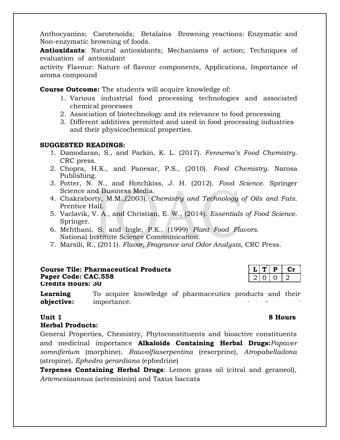Anthocyanins; Carotenoids; Betalains Browning reactions: Enzymatic and Non-enzymatic browning of foods.

**Antioxidants**: Natural antioxidants; Mechanisms of action; Techniques of evaluation of antioxidant

activity Flavour: Nature of flavour components, Applications, Importance of aroma compound

**Course Outcome:** The students will acquire knowledge of:

- 1. Various industrial food processing technologies and associated chemical processes
- 2. Association of biotechnology and its relevance to food processing
- 3. Different additives permitted and used in food processing industries and their physicochemical properties.

### **SUGGESTED READINGS:**

- 1. Damodaran, S., and Parkin, K. L. (2017). *Fennema's Food Chemistry*. CRC press.
- 2. Chopra, H.K., and Panesar, P.S., (2010). *Food Chemistry*. Narosa Publishing.
- 3. Potter, N. N., and Hotchkiss, J. H. (2012). *Food Science*. Springer Science and Business Media.
- 4. Chakraborty, M.M.,(2003). *Chemistry and Technology of Oils and Fats*. Prentice Hall.
- 5. Vaclavik, V. A., and Christian, E. W., (2014). *Essentials of Food Science*. Springer.
- 6. Mehthani, S. and Ingle, P.K., (1999) *Plant Food Flavors*. National Institute Science Communication.
- 7. Marsili, R., (2011). *Flavor, Fragrance and Odor Analysis,* CRC Press.

### **Course Tile: Pharmaceutical Products L E L E Cr Paper Code: CAC.558** 2 0 0 2 **Credits Hours: 30**

**Learning objective:** To acquire knowledge of pharmaceutics products and their importance.

## **Herbal Products:**

General Properties, Chemistry, Phytoconstituents and bioactive constituents and medicinal importance **Alkaloids Containing Herbal Drugs:***Papaver somniferium* (morphine), *Rauvolfiaserpentina* (reserprine), *Atropabelladona* (atropine), *Ephedra gerardiana* (ephedrine)

**Terpenes Containing Herbal Drugs**: Lemon grass oil (citral and geraneol), *Artemesiaannua* (artemisinin) and Taxus baccata

### **Unit 1** 8 Hours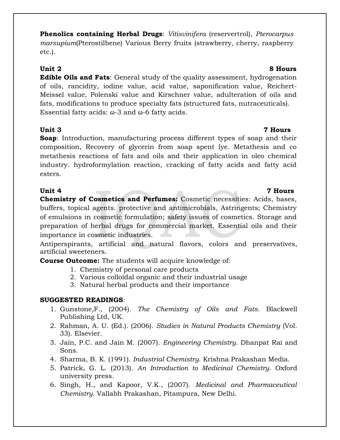**Phenolics containing Herbal Drugs**: *Vitisvinifera* (reservertrol), *Pterocarpus marsupium*(Pterostilbene) Various Berry fruits (strawberry, cherry, raspberry etc.).

**Edible Oils and Fats**: General study of the quality assessment, hydrogenation of oils, rancidity, iodine value, acid value, saponification value, Reichert-Meissel value, Polenski value and Kirschner value, adulteration of oils and fats, modifications to produce specialty fats (structured fats, nutraceuticals). Essential fatty acids: ω-3 and ω-6 fatty acids.

**Unit 3 7 Hours Soap**: Introduction, manufacturing process different types of soap and their composition, Recovery of glycerin from soap spent lye. Metathesis and co metathesis reactions of fats and oils and their application in oleo chemical industry. hydroformylation reaction, cracking of fatty acids and fatty acid esters.

**Unit 4 7 Hours Chemistry of Cosmetics and Perfumes:** Cosmetic necessities: Acids, bases, buffers, topical agents. protective and antimicrobials, Astringents; Chemistry of emulsions in cosmetic formulation; safety issues of cosmetics. Storage and preparation of herbal drugs for commercial market. Essential oils and their importance in cosmetic industries. ÷.

Antiperspirants, artificial and natural flavors, colors and preservatives, artificial sweeteners.

**Course Outcome:** The students will acquire knowledge of:

- 1. Chemistry of personal care products
- 2. Various colloidal organic and their industrial usage
- 3. Natural herbal products and their importance

## **SUGGESTED READINGS**:

- 1. Gunstone,F., (2004). *The Chemistry of Oils and Fats*. Blackwell Publishing Ltd, UK.
- 2. Rahman, A. U. (Ed.). (2006). *Studies in Natural Products Chemistry* (Vol. 33). Elsevier.
- 3. Jain, P.C. and Jain M. (2007). *Engineering Chemistry*. Dhanpat Rai and Sons.
- 4. Sharma, B. K. (1991). *Industrial Chemistry*. Krishna Prakashan Media.
- 5. Patrick, G. L. (2013). *An Introduction to Medicinal Chemistry*. Oxford university press.
- 6. Singh, H., and Kapoor, V.K., (2007). *Medicinal and Pharmaceutical Chemistry*. Vallabh Prakashan, Pitampura, New Delhi.

## **Unit 2 8 Hours**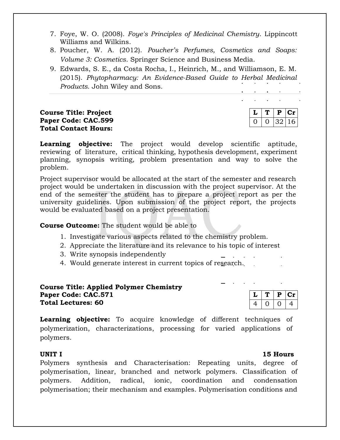- 7. Foye, W. O. (2008). *Foye's Principles of Medicinal Chemistry*. Lippincott Williams and Wilkins.
- 8. Poucher, W. A. (2012). *Poucher's Perfumes, Cosmetics and Soaps: Volume 3: Cosmetics*. Springer Science and Business Media.
- 9. Edwards, S. E., da Costa Rocha, I., Heinrich, M., and Williamson, E. M. (2015). *Phytopharmacy: An Evidence-Based Guide to Herbal Medicinal Products*. John Wiley and Sons.

**Course Title: Project Paper Code: CAC.599 Total Contact Hours:**

|  |  | D  | . . |  |
|--|--|----|-----|--|
|  |  | マソ | 16  |  |

**Learning objective:** The project would develop scientific aptitude, reviewing of literature, critical thinking, hypothesis development, experiment planning, synopsis writing, problem presentation and way to solve the problem.

Project supervisor would be allocated at the start of the semester and research project would be undertaken in discussion with the project supervisor. At the end of the semester the student has to prepare a project report as per the university guidelines. Upon submission of the project report, the projects would be evaluated based on a project presentation.

**Course Outcome:** The student would be able to

- 1. Investigate various aspects related to the chemistry problem.
- 2. Appreciate the literature and its relevance to his topic of interest
- 3. Write synopsis independently
- 4. Would generate interest in current topics of research.

### **Course Title: Applied Polymer Chemistry Paper Code: CAC.571 Total Lectures: 60**



Learning objective: To acquire knowledge of different techniques of polymerization, characterizations, processing for varied applications of polymers.

### **UNIT I 15 Hours**

Polymers synthesis and Characterisation: Repeating units, degree of polymerisation, linear, branched and network polymers. Classification of polymers. Addition, radical, ionic, coordination and condensation polymerisation; their mechanism and examples. Polymerisation conditions and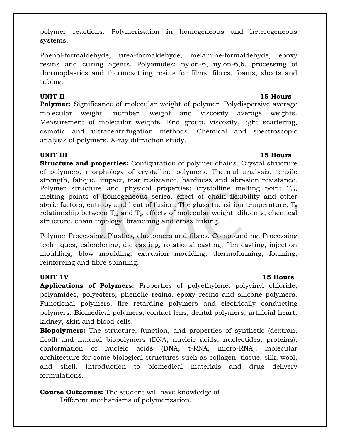polymer reactions. Polymerisation in homogeneous and heterogeneous systems.

Phenol-formaldehyde, urea-formaldehyde, melamine-formaldehyde, epoxy resins and curing agents, Polyamides: nylon-6, nylon-6,6, processing of thermoplastics and thermosetting resins for films, fibres, foams, sheets and tubing.

**UNIT II 15 Hours Polymer:** Significance of molecular weight of polymer. Polydispersive average molecular weight. number, weight and viscosity average weights. Measurement of molecular weights. End group, viscosity, light scattering, osmotic and ultracentrifugation methods. Chemical and spectroscopic analysis of polymers. X-ray diffraction study.

## **UNIT III 15 Hours**

**Structure and properties:** Configuration of polymer chains. Crystal structure of polymers, morphology of crystalline polymers. Thermal analysis, tensile strength, fatique, impact, tear resistance, hardness and abrasion resistance. Polymer structure and physical properties; crystalline melting point  $T_m$ , melting points of homogeneous series, effect of chain flexibility and other steric factors, entropy and heat of fusion. The glass transition temperature,  $T_g$ relationship between  $T_m$  and  $T_g$ , effects of molecular weight, diluents, chemical structure, chain topology, branching and cross linking.

Polymer Processing. Plastics, elastomers and fibres. Compounding. Processing techniques, calendering, die casting, rotational casting, film casting, injection moulding, blow moulding, extrusion moulding, thermoforming, foaming, reinforcing and fibre spinning.

**Applications of Polymers:** Properties of polyethylene, polyvinyl chloride, polyamides, polyesters, phenolic resins, epoxy resins and silicone polymers. Functional polymers, fire retarding polymers and electrically conducting polymers. Biomedical polymers, contact lens, dental polymers, artificial heart, kidney, skin and blood cells.

**Biopolymers:** The structure, function, and properties of synthetic (dextran, ficoll) and natural biopolymers (DNA, nucleic acids, nucleotides, proteins), conformation of nucleic acids (DNA, t-RNA, micro-RNA), molecular architecture for some biological structures such as collagen, tissue, silk, wool, and shell. Introduction to biomedical materials and drug delivery formulations.

## **Course Outcomes:** The student will have knowledge of

1. Different mechanisms of polymerization.

## **UNIT 1V 15 Hours**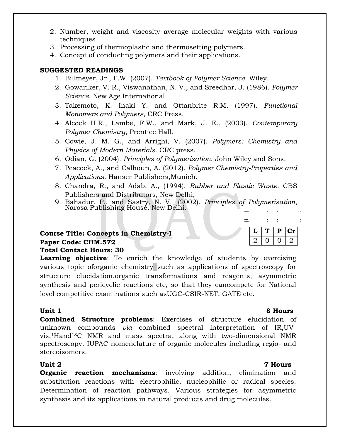- 2. Number, weight and viscosity average molecular weights with various techniques
- 3. Processing of thermoplastic and thermosetting polymers.
- 4. Concept of conducting polymers and their applications.

## **SUGGESTED READINGS**

- 1. Billmeyer, Jr., F.W. (2007). *Textbook of Polymer Science*. Wiley.
- 2. Gowariker, V. R., Viswanathan, N. V., and Sreedhar, J. (1986). *Polymer Science*. New Age International.
- 3. Takemoto, K. Inaki Y. and Ottanbrite R.M. (1997). *Functional Monomers and Polymers,* CRC Press.
- 4. Alcock H.R., Lambe, F.W., and Mark, J. E., (2003). *Contemporary Polymer Chemistry*, Prentice Hall.
- 5. Cowie, J. M. G., and Arrighi, V. (2007). *Polymers: Chemistry and Physics of Modern Materials*. CRC press.
- 6. Odian, G. (2004). *Principles of Polymerization*. John Wiley and Sons.
- 7. Peacock, A., and Calhoun, A. (2012). *Polymer Chemistry-Properties and Applications*. Hanser Publishers,Munich.
- 8. Chandra, R., and Adab, A., (1994). *Rubber and Plastic Waste*. CBS Publishers and Distributors, New Delhi,
- 9. Bahadur, P., and Sastry, N. V., (2002). *Principles of Polymerisation*, Narosa Publishing House, New Delhi.

### **Course Title: Concepts in Chemistry-I Paper Code: CHM.572 Total Contact Hours: 30**

**Learning objective**: To enrich the knowledge of students by exercising various topic oforganic chemistry such as applications of spectroscopy for structure elucidation,organic transformations and reagents, asymmetric synthesis and pericyclic reactions etc, so that they cancompete for National level competitive examinations such asUGC-CSIR-NET, GATE etc.

**Combined Structure problems**: Exercises of structure elucidation of unknown compounds *via* combined spectral interpretation of IR,UVvis,1Hand13C NMR and mass spectra, along with two-dimensional NMR spectroscopy. IUPAC nomenclature of organic molecules including regio- and stereoisomers.

**Organic reaction mechanisms:** involving addition, elimination and substitution reactions with electrophilic, nucleophilic or radical species. Determination of reaction pathways. Various strategies for asymmetric synthesis and its applications in natural products and drug molecules.

| ◡ | D | U1 |
|---|---|----|
|   |   |    |

-

## **Unit 1 8 Hours**

### **Unit 2 7 Hours**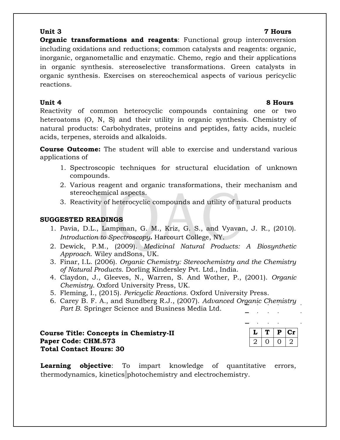**Organic transformations and reagents:** Functional group interconversion including oxidations and reductions; common catalysts and reagents: organic, inorganic, organometallic and enzymatic. Chemo, regio and their applications in organic synthesis. stereoselective transformations. Green catalysts in organic synthesis. Exercises on stereochemical aspects of various pericyclic reactions.

## **Unit 4 8 Hours**

Reactivity of common heterocyclic compounds containing one or two heteroatoms (O, N, S) and their utility in organic synthesis. Chemistry of natural products: Carbohydrates, proteins and peptides, fatty acids, nucleic acids, terpenes, steroids and alkaloids.

**Course Outcome:** The student will able to exercise and understand various applications of

- 1. Spectroscopic techniques for structural elucidation of unknown compounds.
- 2. Various reagent and organic transformations, their mechanism and stereochemical aspects.
- 3. Reactivity of heterocyclic compounds and utility of natural products

## **SUGGESTED READINGS**

- 1. Pavia, D.L., Lampman, G. M., Kriz, G. S., and Vyavan, J. R., (2010). *Introduction to Spectroscopy***.** Harcourt College, NY.
- 2. Dewick, P.M., (2009). *Medicinal Natural Products: A Biosynthetic Approach*. Wiley andSons, UK.
- 3. Finar, I.L. (2006). *Organic Chemistry: Stereochemistry and the Chemistry of Natural Products*. Dorling Kindersley Pvt. Ltd., India.
- 4. Claydon, J., Gleeves, N., Warren, S. And Wother, P., (2001). *Organic Chemistry*. Oxford University Press, UK.
- 5. Fleming, I., (2015). *Pericyclic Reactions*. Oxford University Press.
- 6. Carey B. F. A., and Sundberg R.J., (2007). *Advanced Organic Chemistry Part B*. Springer Science and Business Media Ltd.

**Course Title: Concepts in Chemistry-II Paper Code: CHM.573 Total Contact Hours: 30**

| L | D | C1 |
|---|---|----|
|   |   |    |

**Learning objective**: To impart knowledge of quantitative errors, thermodynamics, kinetics photochemistry and electrochemistry.

## **Unit 3 7 Hours**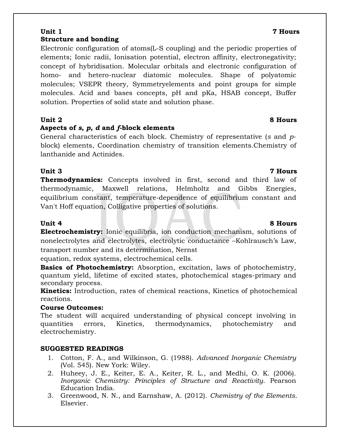### **Unit 1 7 Hours Structure and bonding**

Electronic configuration of atoms(L-S coupling) and the periodic properties of elements; Ionic radii, Ionisation potential, electron affinity, electronegativity; concept of hybridisation. Molecular orbitals and electronic configuration of homo- and hetero-nuclear diatomic molecules. Shape of polyatomic molecules; VSEPR theory, Symmetryelements and point groups for simple molecules. Acid and bases concepts, pH and pKa, HSAB concept, Buffer solution. Properties of solid state and solution phase.

## **Unit 2 8 Hours**

## **Aspects of** *s***,** *p***,** *d* **and** *f***-block elements**

General characteristics of each block. Chemistry of representative (*s* and *p*block) elements, Coordination chemistry of transition elements.Chemistry of lanthanide and Actinides.

## **Unit 3 7 Hours**

**Thermodynamics:** Concepts involved in first, second and third law of thermodynamic, Maxwell relations, Helmholtz and Gibbs Energies, equilibrium constant, temperature-dependence of equilibrium constant and Van't Hoff equation, Colligative properties of solutions.

**Electrochemistry:** Ionic equilibria, ion conduction mechanism, solutions of nonelectrolytes and electrolytes, electrolytic conductance –Kohlrausch's Law, transport number and its determination, Nernst

equation, redox systems, electrochemical cells.

**Basics of Photochemistry:** Absorption, excitation, laws of photochemistry, quantum yield, lifetime of excited states, photochemical stages-primary and secondary process.

**Kinetics:** Introduction, rates of chemical reactions, Kinetics of photochemical reactions.

## **Course Outcomes:**

The student will acquired understanding of physical concept involving in quantities errors, Kinetics, thermodynamics, photochemistry and electrochemistry.

## **SUGGESTED READINGS**

- 1. Cotton, F. A., and Wilkinson, G. (1988). *Advanced Inorganic Chemistry* (Vol. 545). New York: Wiley.
- 2. Huheey, J. E., Keiter, E. A., Keiter, R. L., and Medhi, O. K. (2006). *Inorganic Chemistry: Principles of Structure and Reactivity*. Pearson Education India.
- 3. Greenwood, N. N., and Earnshaw, A. (2012). *Chemistry of the Elements*. Elsevier.

### **Unit 4 8 Hours**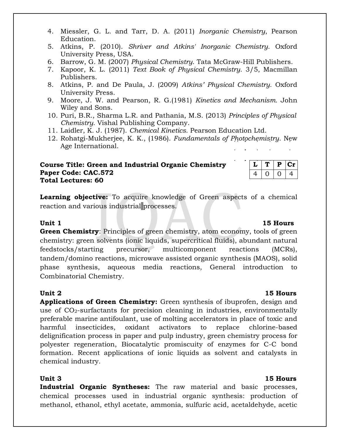- 4. Miessler, G. L. and Tarr, D. A. (2011) *Inorganic Chemistry*, Pearson Education.
- 5. Atkins, P. (2010). *Shriver and Atkins' Inorganic Chemistry*. Oxford University Press, USA.
- 6. Barrow, G. M. (2007) *Physical Chemistry*. Tata McGraw-Hill Publishers.
- 7. Kapoor, K. L. (2011) *Text Book of Physical Chemistry*. 3/5, Macmillan Publishers.
- 8. Atkins, P. and De Paula, J. (2009) *Atkins' Physical Chemistry.* Oxford University Press.
- 9. Moore, J. W. and Pearson, R. G.(1981) *Kinetics and Mechanism.* John Wiley and Sons.
- 10. Puri, B.R., Sharma L.R. and Pathania, M.S. (2013) *Principles of Physical Chemistry.* Vishal Publishing Company.
- 11. Laidler, K. J. (1987). *Chemical Kinetics*. Pearson Education Ltd.
- 12. Rohatgi-Mukherjee, K. K., (1986). *Fundamentals of Photochemistry*. New Age International.

### **Course Title: Green and Industrial Organic Chemistry Paper Code: CAC.572 Total Lectures: 60**

**Learning objective:** To acquire knowledge of Green aspects of a chemical reaction and various industrial processes.

**Green Chemistry**: Principles of green chemistry, atom economy, tools of green chemistry: green solvents (ionic liquids, supercritical fluids), abundant natural feedstocks/starting precursor, multicomponent reactions (MCRs), tandem/domino reactions, microwave assisted organic synthesis (MAOS), solid phase synthesis, aqueous media reactions, General introduction to Combinatorial Chemistry.

**Unit 2 15 Hours Applications of Green Chemistry:** Green synthesis of ibuprofen, design and use of  $CO<sub>2</sub>$ -surfactants for precision cleaning in industries, environmentally preferable marine antifoulant, use of molting accelerators in place of toxic and harmful insecticides, oxidant activators to replace chlorine-based delignification process in paper and pulp industry, green chemistry process for polyester regeneration, Biocatalytic promiscuity of enzymes for C-C bond formation. Recent applications of ionic liquids as solvent and catalysts in chemical industry.

**Industrial Organic Syntheses:** The raw material and basic processes, chemical processes used in industrial organic synthesis: production of methanol, ethanol, ethyl acetate, ammonia, sulfuric acid, acetaldehyde, acetic

### **Unit 1 15 Hours**

 $L$  |  $T$  |  $P$  |  $Cr$  $4 | 0 | 0 | 4$ 

## **Unit 3 15 Hours**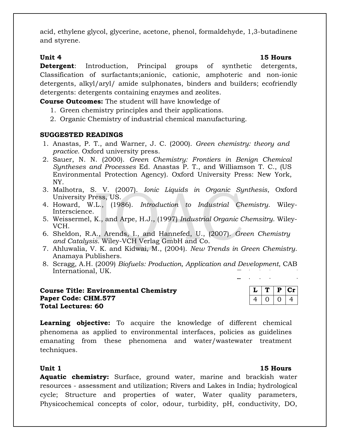acid, ethylene glycol, glycerine, acetone, phenol, formaldehyde, 1,3-butadinene and styrene.

**Unit 4 15 Hours Detergent**: Introduction, Principal groups of synthetic detergents, Classification of surfactants;anionic, cationic, amphoteric and non-ionic detergents, alkyl/aryl/ amide sulphonates, binders and builders; ecofriendly detergents: detergents containing enzymes and zeolites.

**Course Outcomes:** The student will have knowledge of

- 1. Green chemistry principles and their applications.
- 2. Organic Chemistry of industrial chemical manufacturing.

## **SUGGESTED READINGS**

- 1. Anastas, P. T., and Warner, J. C. (2000). *Green chemistry: theory and practice*. Oxford university press.
- 2. Sauer, N. N. (2000). *Green Chemistry: Frontiers in Benign Chemical Syntheses and Processes* Ed. Anastas P. T., and Williamson T. C., (US Environmental Protection Agency). Oxford University Press: New York, NY.
- 3. Malhotra, S. V. (2007). *Ionic Liquids in Organic Synthesis*, Oxford University Press, US.
- 4. Howard, W.L., (1986). *Introduction to Industrial Chemistry*. Wiley-Interscience.
- 5. Weissermel, K., and Arpe, H.J., (1997) *Industrial Organic Chemsitry*. Wiley-VCH.
- 6. Sheldon, R.A., Arends, I., and Hannefed, U., (2007). *Green Chemistry and Catalysis*. Wiley-VCH Verlag GmbH and Co.
- 7. Ahluwalia, V. K. and Kidwai, M., (2004). *New Trends in Green Chemistry*. Anamaya Publishers.
- 8. Scragg, A.H. (2009) *Biofuels: Production, Application and Development*, CAB International, UK.

## **Course Title: Environmental Chemistry Paper Code: CHM.577 Total Lectures: 60**

|    | в | U. |
|----|---|----|
| ,, |   | л. |

**Learning objective:** To acquire the knowledge of different chemical phenomena as applied to environmental interfaces, policies as guidelines emanating from these phenomena and water/wastewater treatment techniques.

**Aquatic chemistry:** Surface, ground water, marine and brackish water resources - assessment and utilization; Rivers and Lakes in India; hydrological cycle; Structure and properties of water, Water quality parameters, Physicochemical concepts of color, odour, turbidity, pH, conductivity, DO,

### **Unit 1 15 Hours**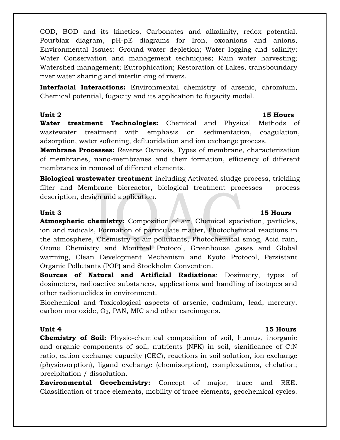COD, BOD and its kinetics, Carbonates and alkalinity, redox potential, Pourbiax diagram, pH-pE diagrams for Iron, oxoanions and anions, Environmental Issues: Ground water depletion; Water logging and salinity; Water Conservation and management techniques; Rain water harvesting; Watershed management; Eutrophication; Restoration of Lakes, transboundary river water sharing and interlinking of rivers.

**Interfacial Interactions:** Environmental chemistry of arsenic, chromium, Chemical potential, fugacity and its application to fugacity model.

**Unit 2 15 Hours**

**Water treatment Technologies:** Chemical and Physical Methods of wastewater treatment with emphasis on sedimentation, coagulation, adsorption, water softening, defluoridation and ion exchange process.

**Membrane Processes:** Reverse Osmosis, Types of membrane, characterization of membranes, nano-membranes and their formation, efficiency of different membranes in removal of different elements.

**Biological wastewater treatment** including Activated sludge process, trickling filter and Membrane bioreactor, biological treatment processes - process description, design and application.

**Atmospheric chemistry:** Composition of air, Chemical speciation, particles, ion and radicals, Formation of particulate matter, Photochemical reactions in the atmosphere, Chemistry of air pollutants, Photochemical smog, Acid rain, Ozone Chemistry and Montreal Protocol, Greenhouse gases and Global warming, Clean Development Mechanism and Kyoto Protocol, Persistant Organic Pollutants (POP) and Stockholm Convention.

**Sources of Natural and Artificial Radiations**: Dosimetry, types of dosimeters, radioactive substances, applications and handling of isotopes and other radionuclides in environment.

Biochemical and Toxicological aspects of arsenic, cadmium, lead, mercury, carbon monoxide, O3, PAN, MIC and other carcinogens.

## **Unit 4 15 Hours**

**Chemistry of Soil:** Physio-chemical composition of soil, humus, inorganic and organic components of soil, nutrients (NPK) in soil, significance of C:N ratio, cation exchange capacity (CEC), reactions in soil solution, ion exchange (physiosorption), ligand exchange (chemisorption), complexations, chelation; precipitation / dissolution.

**Environmental Geochemistry:** Concept of major, trace and REE. Classification of trace elements, mobility of trace elements, geochemical cycles.

## **Unit 3 15 Hours**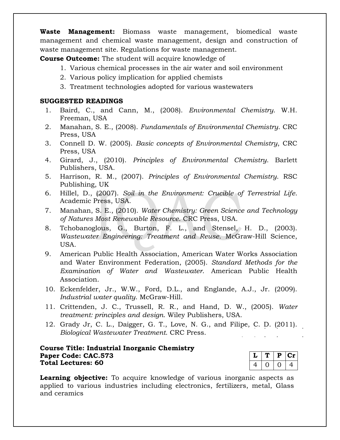**Waste Management:** Biomass waste management, biomedical waste management and chemical waste management, design and construction of waste management site. Regulations for waste management.

**Course Outcome:** The student will acquire knowledge of

- 1. Various chemical processes in the air water and soil environment
- 2. Various policy implication for applied chemists
- 3. Treatment technologies adopted for various wastewaters

### **SUGGESTED READINGS**

- 1. Baird, C., and Cann, M., (2008). *Environmental Chemistry*. W.H. Freeman, USA
- 2. Manahan, S. E., (2008). *Fundamentals of Environmental Chemistry*. CRC Press, USA
- 3. Connell D. W. (2005). *Basic concepts of Environmental Chemistry*, CRC Press, USA
- 4. Girard, J., (2010). *Principles of Environmental Chemistry*. Barlett Publishers, USA.
- 5. Harrison, R. M., (2007). *Principles of Environmental Chemistry*. RSC Publishing, UK
- 6. Hillel, D., (2007). *Soil in the Environment: Crucible of Terrestrial Life*. Academic Press, USA.
- 7. Manahan, S. E., (2010). *Water Chemistry: Green Science and Technology of Natures Most Renewable Resource*. CRC Press, USA.
- 8. Tchobanoglous, G., Burton, F. L., and Stensel, H. D., (2003). *Wastewater Engineering: Treatment and Reuse*. McGraw-Hill Science, USA.
- 9. American Public Health Association, American Water Works Association and Water Environment Federation, (2005). *Standard Methods for the Examination of Water and Wastewater*. American Public Health Association.
- 10. Eckenfelder, Jr., W.W., Ford, D.L., and Englande, A.J., Jr. (2009). *Industrial water quality*. McGraw-Hill.
- 11. Crittenden, J. C., Trussell, R. R., and Hand, D. W., (2005). *Water treatment: principles and design*. Wiley Publishers, USA.
- 12. Grady Jr, C. L., Daigger, G. T., Love, N. G., and Filipe, C. D. (2011). *Biological Wastewater Treatment*. CRC Press.

### **Course Title: Industrial Inorganic Chemistry Paper Code: CAC.573 Total Lectures: 60**

| u        | D | UЛ<br>٠ |
|----------|---|---------|
| $\omega$ |   | ↵       |

**Learning objective:** To acquire knowledge of various inorganic aspects as applied to various industries including electronics, fertilizers, metal, Glass and ceramics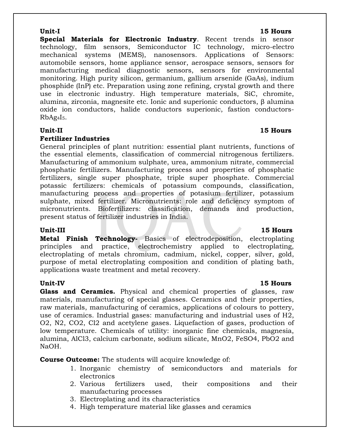**Special Materials for Electronic Industry**. Recent trends in sensor technology, film sensors, Semiconductor IC technology, micro-electro mechanical systems (MEMS), nanosensors. Applications of Sensors: automobile sensors, home appliance sensor, aerospace sensors, sensors for manufacturing medical diagnostic sensors, sensors for environmental monitoring. High purity silicon, germanium, gallium arsenide (GaAs), indium phosphide (InP) etc. Preparation using zone refining, crystal growth and there use in electronic industry. High temperature materials, SiC, chromite, alumina, zirconia, magnesite etc. Ionic and superionic conductors, β alumina oxide ion conductors, halide conductors superionic, fastion conductors- $RbAg<sub>4</sub>I<sub>5</sub>$ .

### **Fertilizer Industries**

General principles of plant nutrition: essential plant nutrients, functions of the essential elements, classification of commercial nitrogenous fertilizers. Manufacturing of ammonium sulphate, urea, ammonium nitrate, commercial phosphatic fertilizers. Manufacturing process and properties of phosphatic fertilizers, single super phosphate, triple super phosphate. Commercial potassic fertilizers: chemicals of potassium compounds, classification, manufacturing process and properties of potasium fertilizer, potassium sulphate, mixed fertilizer. Micronutrients: role and deficiency symptom of micronutrients. Biofertilizers: classification, demands and production, present status of fertilizer industries in India.

**Metal Finish Technology-** Basics of electrodeposition, electroplating principles and practice, electrochemistry applied to electroplating, electroplating of metals chromium, cadmium, nickel, copper, silver, gold, purpose of metal electroplating composition and condition of plating bath, applications waste treatment and metal recovery.

**Glass and Ceramics.** Physical and chemical properties of glasses, raw materials, manufacturing of special glasses. Ceramics and their properties, raw materials, manufacturing of ceramics, applications of colours to pottery, use of ceramics. Industrial gases: manufacturing and industrial uses of H2, O2, N2, CO2, Cl2 and acetylene gases. Liquefaction of gases, production of low temperature. Chemicals of utility: inorganic fine chemicals, magnesia, alumina, AlCl3, calcium carbonate, sodium silicate, MnO2, FeSO4, PbO2 and NaOH.

**Course Outcome:** The students will acquire knowledge of:

- 1. Inorganic chemistry of semiconductors and materials for electronics
- 2. Various fertilizers used, their compositions and their manufacturing processes
- 3. Electroplating and its characteristics
- 4. High temperature material like glasses and ceramics

### **Unit-I 15 Hours**

## **Unit-III 15 Hours**

## **Unit-IV 15 Hours**

## **Unit-II 15 Hours**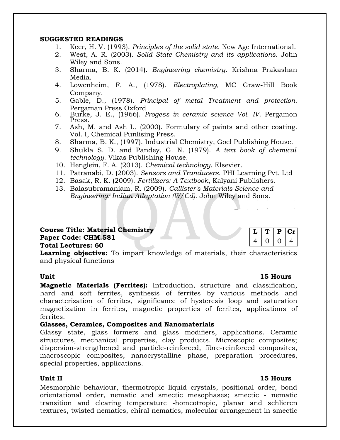### **SUGGESTED READINGS**

- 1. Keer, H. V. (1993). *Principles of the solid state*. New Age International.
- 2. West, A. R. (2003). *Solid State Chemistry and its applications*. John Wiley and Sons.
- 3. Sharma, B. K. (2014). *Engineering chemistry*. Krishna Prakashan Media.
- 4. Lowenheim, F. A., (1978). *Electroplating,* MC Graw-Hill Book Company.
- 5. Gable, D., (1978). *Principal of metal Treatment and protection*. Pergaman Press Oxford
- 6. Burke, J. E., (1966). *Progess in ceramic science Vol. IV*. Pergamon Press.
- 7. Ash, M. and Ash I., (2000). Formulary of paints and other coating. Vol. I, Chemical Punlising Press.
- 8. Sharma, B. K., (1997). Industrial Chemistry, Goel Publishing House.
- 9. Shukla S. D. and Pandey, G. N. (1979). *A text book of chemical technology*. Vikas Publishing House.
- 10. Henglein, F. A. (2013). *Chemical technology*. Elsevier.
- 11. Patranabi, D. (2003). *Sensors and Tranducers*. PHI Learning Pvt. Ltd
- 12. Basak, R. K. (2009). *Fertilizers: A Textbook*, Kalyani Publishers.
- 13. Balasubramaniam, R. (2009). *Callister's Materials Science and Engineering: Indian Adaptation (W/Cd)*. John Wiley and Sons.

## **Course Title: Material Chemistry Paper Code: CHM.581 Total Lectures: 60**

| ◡ | Ð | CT.  |  |
|---|---|------|--|
|   |   | المك |  |

**Learning objective:** To impart knowledge of materials, their characteristics and physical functions

**Magnetic Materials (Ferrites):** Introduction, structure and classification, hard and soft ferrites, synthesis of ferrites by various methods and characterization of ferrites, significance of hysteresis loop and saturation magnetization in ferrites, magnetic properties of ferrites, applications of ferrites.

### **Glasses, Ceramics, Composites and Nanomaterials**

Glassy state, glass formers and glass modifiers, applications. Ceramic structures, mechanical properties, clay products. Microscopic composites; dispersion-strengthened and particle-reinforced, fibre-reinforced composites, macroscopic composites, nanocrystalline phase, preparation procedures, special properties, applications.

Mesmorphic behaviour, thermotropic liquid crystals, positional order, bond orientational order, nematic and smectic mesophases; smectic - nematic transition and clearing temperature -homeotropic, planar and schlieren textures, twisted nematics, chiral nematics, molecular arrangement in smectic

## **Unit 15 Hours**

### **Unit II 15 Hours**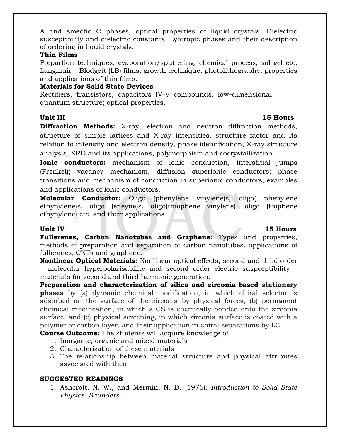A and smectic C phases, optical properties of liquid crystals. Dielectric susceptibility and dielectric constants. Lyotropic phases and their description of ordering in liquid crystals.

### **Thin Films**

Prepartion techniques; evaporation/sputtering, chemical process, sol gel etc. Langmuir – Blodgett (LB) films, growth technique, photolithography, properties and applications of thin films.

## **Materials for Solid State Devices**

Rectifiers, transistors, capacitors IV-V compounds, low–dimensional quantum structure; optical properties.

**Diffraction Methods:** X-ray, electron and neutron diffraction methods, structure of simple lattices and X-ray intensities, structure factor and its relation to intensity and electron density, phase identification, X-ray structure analysis, XRD and its applications, polymorphism and cocrystallization.

**Ionic conductors:** mechanism of ionic conduction, interstitial jumps (Frenkel); vacancy mechanism, diffusion superionic conductors; phase transitions and mechanism of conduction in superionic conductors, examples and applications of ionic conductors.

**Molecular Conductor:** Oligo (phenylene vinylene)s, oligo( phenylene ethynylene)s, oligo (eneyne)s, oligo(thiophene vinylene), oligo (thiphene ethynylene) etc. and their applications

## **Unit IV 15 Hours**

**Fullerenes, Carbon Nanotubes and Graphene:** Types and properties, methods of preparation and separation of carbon nanotubes, applications of fullerenes, CNTs and graphene.

**Nonlinear Optical Materials:** Nonlinear optical effects, second and third order – molecular hyperpolarisability and second order electric suspceptibility – materials for second and third harmonic generation.

**Preparation and characterization of silica and zirconia based stationary phases** by (a) dynamic chemical modification, in which chiral selector is adsorbed on the surface of the zirconia by physical forces, (b) permanent chemical modification, in which a CS is chemically bonded onto the zirconia surface, and (c) physical screening, in which zirconia surface is coated with a polymer or carbon layer, and their application in chiral separations by LC

**Course Outcome:** The students will acquire knowledge of

- 1. Inorganic, organic and mixed materials
- 2. Characterization of these materials
- 3. The relationship between material structure and physical attributes associated with them.

## **SUGGESTED READINGS**

1. Ashcroft, N. W., and Mermin, N. D. (1976). *Introduction to Solid State Physics*. *Saunders.*.

## **Unit III 15 Hours**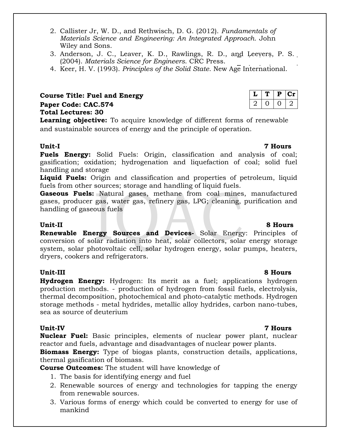- 2. Callister Jr, W. D., and Rethwisch, D. G. (2012). *Fundamentals of Materials Science and Engineering: An Integrated Approach.* John Wiley and Sons.
- 3. Anderson, J. C., Leaver, K. D., Rawlings, R. D., and Leevers, P. S. (2004). *Materials Science for Engineers*. CRC Press.
- 4. Keer, H. V. (1993). *Principles of the Solid State*. New Age International.

**Course Title: Fuel and Energy Paper Code: CAC.574**

## **Total Lectures: 30**

**Learning objective:** To acquire knowledge of different forms of renewable and sustainable sources of energy and the principle of operation.

## **Unit-I 7 Hours**

**Fuels Energy:** Solid Fuels: Origin, classification and analysis of coal; gasification; oxidation; hydrogenation and liquefaction of coal; solid fuel handling and storage

**Liquid Fuels:** Origin and classification and properties of petroleum, liquid fuels from other sources; storage and handling of liquid fuels.

**Gaseous Fuels:** Natural gases, methane from coal mines, manufactured gases, producer gas, water gas, refinery gas, LPG; cleaning, purification and handling of gaseous fuels

## **Unit-II 8 Hours**

**Renewable Energy Sources and Devices-** Solar Energy: Principles of conversion of solar radiation into heat, solar collectors, solar energy storage system, solar photovoltaic cell, solar hydrogen energy, solar pumps, heaters, dryers, cookers and refrigerators.

### **Unit-III 8 Hours**

**Hydrogen Energy:** Hydrogen: Its merit as a fuel; applications hydrogen production methods. - production of hydrogen from fossil fuels, electrolysis, thermal decomposition, photochemical and photo-catalytic methods. Hydrogen storage methods - metal hydrides, metallic alloy hydrides, carbon nano-tubes, sea as source of deuterium

**Unit-IV 7 Hours Nuclear Fuel:** Basic principles, elements of nuclear power plant, nuclear reactor and fuels, advantage and disadvantages of nuclear power plants.

**Biomass Energy:** Type of biogas plants, construction details, applications, thermal gasification of biomass.

**Course Outcomes:** The student will have knowledge of

- 1. The basis for identifying energy and fuel
- 2. Renewable sources of energy and technologies for tapping the energy from renewable sources.
- 3. Various forms of energy which could be converted to energy for use of mankind

 $L | T | P | Cr$  $2 0 0 2$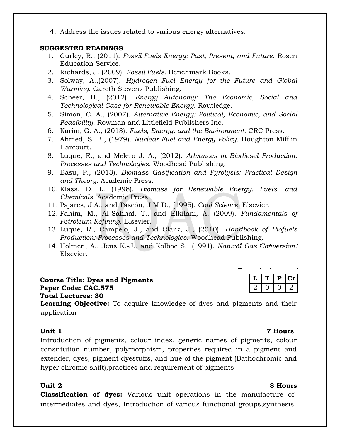4. Address the issues related to various energy alternatives.

### **SUGGESTED READINGS**

- 1. Curley, R., (2011). *Fossil Fuels Energy: Past, Present, and Future*. Rosen Education Service.
- 2. Richards, J. (2009). *Fossil Fuels*. Benchmark Books.
- 3. Solway, A.,(2007). *Hydrogen Fuel Energy for the Future and Global Warming*. Gareth Stevens Publishing.
- 4. Scheer, H., (2012). *Energy Autonomy: The Economic, Social and Technological Case for Renewable Energy*. Routledge.
- 5. Simon, C. A., (2007). *Alternative Energy: Political, Economic, and Social Feasibility.* Rowman and Littlefield Publishers Inc.
- 6. Karim, G. A., (2013). *Fuels, Energy, and the Environment.* CRC Press.
- 7. Ahmed, S. B., (1979). *Nuclear Fuel and Energy Policy*. Houghton Mifflin Harcourt.
- 8. Luque, R., and Melero J. A., (2012). *Advances in Biodiesel Production: Processes and Technologies*. Woodhead Publishing.
- 9. Basu, P., (2013). *Biomass Gasification and Pyrolysis: Practical Design and Theory*. Academic Press.
- 10. Klass, D. L. (1998). *Biomass for Renewable Energy, Fuels, and Chemicals*. Academic Press.
- 11. Pajares, J.A., and Tascón, J.M.D., (1995). *Coal Science*. Elsevier.
- 12. Fahim, M., Al-Sahhaf, T., and Elkilani, A. (2009). *Fundamentals of Petroleum Refining*. Elsevier.
- 13. Luque, R., Campelo, J., and Clark, J., (2010). *Handbook of Biofuels Production: Processes and Technologies*. Woodhead Publishing.
- 14. Holmen, A., Jens K.-J., and Kolboe S., (1991). *Natural Gas Conversion*. Elsevier.

|  | <b>Course Title: Dyes and Pigments</b> |  |  |  |
|--|----------------------------------------|--|--|--|
|  | Paper Code: CAC.575                    |  |  |  |
|  | <b>Total Lectures: 30</b>              |  |  |  |
|  |                                        |  |  |  |

**Learning Objective:** To acquire knowledge of dyes and pigments and their application

### **Unit 1 7 Hours**

Introduction of pigments, colour index, generic names of pigments, colour constitution number, polymorphism, properties required in a pigment and extender, dyes, pigment dyestuffs, and hue of the pigment (Bathochromic and hyper chromic shift),practices and requirement of pigments

### **Unit 2 8 Hours**

**Classification of dyes:** Various unit operations in the manufacture of intermediates and dyes, Introduction of various functional groups,synthesis

 $L | T | P | Cr$  $2 | 0 | 0 | 2$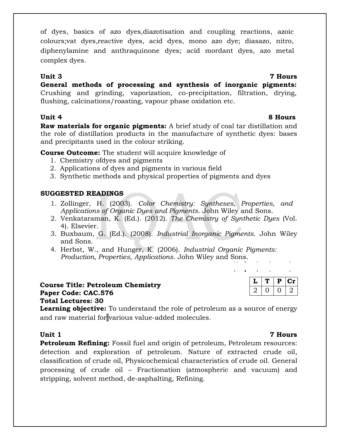of dyes, basics of azo dyes,diazotisation and coupling reactions, azoic colours;vat dyes,reactive dyes, acid dyes, mono azo dye; diasazo, nitro, diphenylamine and anthraquinone dyes; acid mordant dyes, azo metal complex dyes.

## **Unit 3 7 Hours**

**General methods of processing and synthesis of inorganic pigments:**  Crushing and grinding, vaporization, co-precipitation, filtration, drying, flushing, calcinations/roasting, vapour phase oxidation etc.

**Unit 4 8 Hours**

**Raw materials for organic pigments:** A brief study of coal tar distillation and the role of distillation products in the manufacture of synthetic dyes: bases and precipitants used in the colour striking.

**Course Outcome:** The student will acquire knowledge of

- 1. Chemistry ofdyes and pigments
- 2. Applications of dyes and pigments in various field
- 3. Synthetic methods and physical properties of pigments and dyes

## **SUGGESTED READINGS**

- 1. Zollinger, H. (2003). *Color Chemistry: Syntheses, Properties, and Applications of Organic Dyes and Pigments*. John Wiley and Sons.
- 2. Venkataraman, K. (Ed.). (2012). *The Chemistry of Synthetic Dyes* (Vol. 4). Elsevier.
- 3. Buxbaum, G. (Ed.). (2008). *Industrial Inorganic Pigments*. John Wiley and Sons.
- 4. Herbst, W., and Hunger, K. (2006). *Industrial Organic Pigments: Production, Properties, Applications*. John Wiley and Sons.

| <b>Course Title: Petroleum Chemistry</b> |  |
|------------------------------------------|--|
| Paper Code: CAC.576                      |  |
| <b>Total Lectures: 30</b>                |  |
|                                          |  |

 $L | T | P | Cr$  $2 | 0 | 0 | 2$ 

 $\mathcal{L}$ 

 $\sim$  1

 $\mathbf{r}^{\prime}$  $\sim$   $\pm$ 

**Learning objective:** To understand the role of petroleum as a source of energy and raw material for various value-added molecules.

**Petroleum Refining:** Fossil fuel and origin of petroleum, Petroleum resources: detection and exploration of petroleum. Nature of extracted crude oil, classification of crude oil, Physicochemical characteristics of crude oil. General processing of crude oil – Fractionation (atmospheric and vacuum) and stripping, solvent method, de-asphalting, Refining.

### **Unit 1 7 Hours**

 $\overline{1}$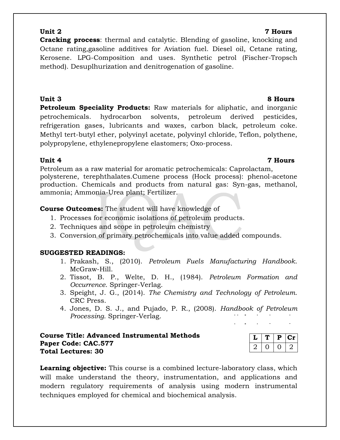## **Unit 2 7 Hours**

**Cracking process**: thermal and catalytic. Blending of gasoline, knocking and Octane rating,gasoline additives for Aviation fuel. Diesel oil, Cetane rating, Kerosene. LPG-Composition and uses. Synthetic petrol (Fischer-Tropsch method). Desuplhurization and denitrogenation of gasoline.

**Unit 3 8 Hours Petroleum Speciality Products:** Raw materials for aliphatic, and inorganic petrochemicals. hydrocarbon solvents, petroleum derived pesticides, refrigeration gases, lubricants and waxes, carbon black, petroleum coke. Methyl tert-butyl ether, polyvinyl acetate, polyvinyl chloride, Teflon, polythene, polypropylene, ethylenepropylene elastomers; Oxo-process.

## **Unit 4 7 Hours**

Petroleum as a raw material for aromatic petrochemicals: Caprolactam, polysterene, terephthalates.Cumene process (Hock process): phenol-acetone production. Chemicals and products from natural gas: Syn-gas, methanol, ammonia; Ammonia-Urea plant; Fertilizer.

## **Course Outcomes:** The student will have knowledge of

- 1. Processes for economic isolations of petroleum products.
- 2. Techniques and scope in petroleum chemistry
- 3. Conversion of primary petrochemicals into value added compounds.

## **SUGGESTED READINGS:**

- 1. Prakash, S., (2010). *Petroleum Fuels Manufacturing Handbook*. McGraw-Hill.
- 2. Tissot, B. P., Welte, D. H., (1984). *Petroleum Formation and Occurrence*. Springer-Verlag.
- 3. Speight, J. G., (2014). *The Chemistry and Technology of Petroleum*. CRC Press.
- 4. Jones, D. S. J., and Pujado, P. R., (2008). *Handbook of Petroleum Processing*. Springer-Verlag.

## **Course Title: Advanced Instrumental Methods Paper Code: CAC.577 Total Lectures: 30**

**Learning objective:** This course is a combined lecture-laboratory class, which will make understand the theory, instrumentation, and applications and modern regulatory requirements of analysis using modern instrumental techniques employed for chemical and biochemical analysis.

# $L | T | P | Cr$  $2 0 0 2$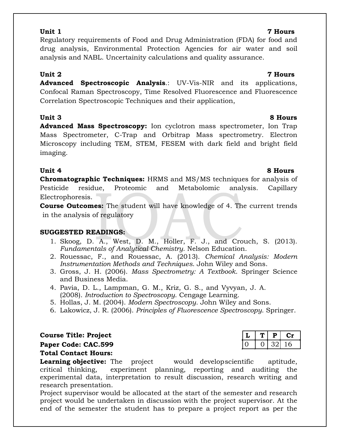## **Unit 1 7 Hours**

## Regulatory requirements of Food and Drug Administration (FDA) for food and drug analysis, Environmental Protection Agencies for air water and soil analysis and NABL. Uncertainity calculations and quality assurance.

**Unit 2 7 Hours**

**Advanced Spectroscopic Analysis**.: UV-Vis-NIR and its applications, Confocal Raman Spectroscopy, Time Resolved Fluorescence and Fluorescence Correlation Spectroscopic Techniques and their application,

## **Unit 3 8 Hours**

**Advanced Mass Spectroscopy:** Ion cyclotron mass spectrometer, Ion Trap Mass Spectrometer, C-Trap and Orbitrap Mass spectrometry. Electron Microscopy including TEM, STEM, FESEM with dark field and bright field imaging.

**Chromatographic Techniques:** HRMS and MS/MS techniques for analysis of Pesticide residue, Proteomic and Metabolomic analysis. Capillary Electrophoresis.

**Course Outcomes:** The student will have knowledge of 4. The current trends in the analysis of regulatory

## **SUGGESTED READINGS:**

- 1. Skoog, D. A., West, D. M., Holler, F. J., and Crouch, S. (2013). *Fundamentals of Analytical Chemistry*. Nelson Education.
- 2. Rouessac, F., and Rouessac, A. (2013). *Chemical Analysis: Modern Instrumentation Methods and Techniques*. John Wiley and Sons.
- 3. Gross, J. H. (2006). *Mass Spectrometry: A Textbook*. Springer Science and Business Media.
- 4. Pavia, D. L., Lampman, G. M., Kriz, G. S., and Vyvyan, J. A. (2008). *Introduction to Spectroscopy*. Cengage Learning.
- 5. Hollas, J. M. (2004). *Modern Spectroscopy*. John Wiley and Sons.
- 6. Lakowicz, J. R. (2006). *Principles of Fluorescence Spectroscopy*. Springer.

 $C$  **Course Title: Project** 

Paper Code: CAC.599

## **Total Contact Hours:**

**Learning objective:** The project would developscientific aptitude, critical thinking, experiment planning, reporting and auditing the experimental data, interpretation to result discussion, research writing and research presentation.

Project supervisor would be allocated at the start of the semester and research project would be undertaken in discussion with the project supervisor. At the end of the semester the student has to prepare a project report as per the

## **Unit 4 8 Hours**

|  | υ   |  |
|--|-----|--|
|  | . . |  |